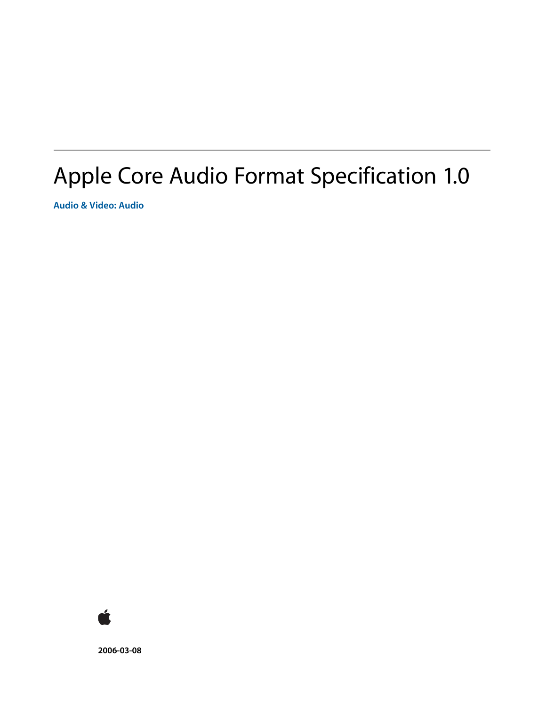# Apple Core Audio Format Specification 1.0

**Audio & Video: Audio**



**2006-03-08**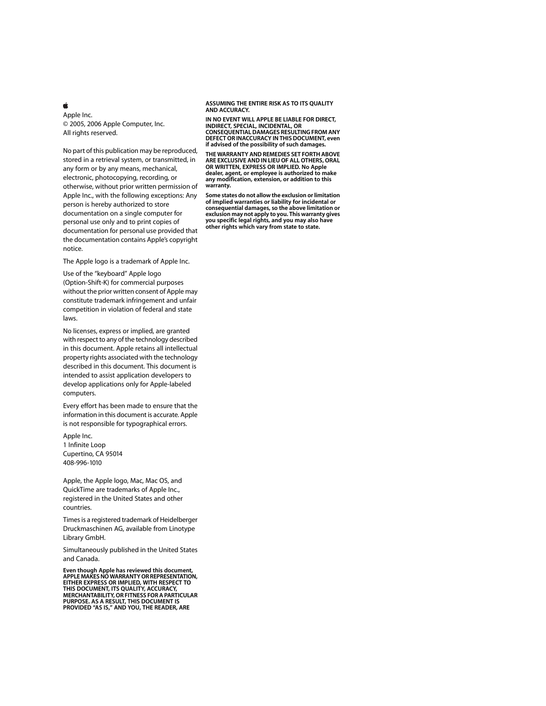### á

Apple Inc. © 2005, 2006 Apple Computer, Inc. All rights reserved.

No part of this publication may be reproduced, stored in a retrieval system, or transmitted, in any form or by any means, mechanical, electronic, photocopying, recording, or otherwise, without prior written permission of Apple Inc., with the following exceptions: Any person is hereby authorized to store documentation on a single computer for personal use only and to print copies of documentation for personal use provided that the documentation contains Apple's copyright notice.

The Apple logo is a trademark of Apple Inc.

Use of the "keyboard" Apple logo (Option-Shift-K) for commercial purposes without the prior written consent of Apple may constitute trademark infringement and unfair competition in violation of federal and state laws.

No licenses, express or implied, are granted with respect to any of the technology described in this document. Apple retains all intellectual property rights associated with the technology described in this document. This document is intended to assist application developers to develop applications only for Apple-labeled computers.

Every effort has been made to ensure that the information in this document is accurate. Apple is not responsible for typographical errors.

Apple Inc. 1 Infinite Loop Cupertino, CA 95014 408-996-1010

Apple, the Apple logo, Mac, Mac OS, and QuickTime are trademarks of Apple Inc., registered in the United States and other countries.

Times is a registered trademark of Heidelberger Druckmaschinen AG, available from Linotype Library GmbH.

Simultaneously published in the United States and Canada.

**Even though Apple has reviewed this document, APPLE MAKESNOWARRANTYOR REPRESENTATION, EITHER EXPRESS OR IMPLIED, WITH RESPECT TO THIS DOCUMENT, ITS QUALITY, ACCURACY, MERCHANTABILITY,OR FITNESS FOR A PARTICULAR PURPOSE. AS A RESULT, THIS DOCUMENT IS PROVIDED "AS IS," AND YOU, THE READER, ARE**

**ASSUMING THE ENTIRE RISK AS TO ITS QUALITY AND ACCURACY.**

**IN NO EVENT WILL APPLE BE LIABLE FOR DIRECT, INDIRECT, SPECIAL, INCIDENTAL, OR CONSEQUENTIALDAMAGES RESULTINGFROM ANY DEFECT OR INACCURACY IN THIS DOCUMENT, even if advised of the possibility of such damages.**

**THE WARRANTY AND REMEDIES SET FORTH ABOVE ARE EXCLUSIVE AND IN LIEU OF ALL OTHERS, ORAL OR WRITTEN, EXPRESS OR IMPLIED. No Apple dealer, agent, or employee is authorized to make any modification, extension, or addition to this warranty.**

**Some states do not allow the exclusion orlimitation of implied warranties or liability for incidental or consequential damages, so the above limitation or exclusion may not apply to you. This warranty gives you specific legal rights, and you may also have other rights which vary from state to state.**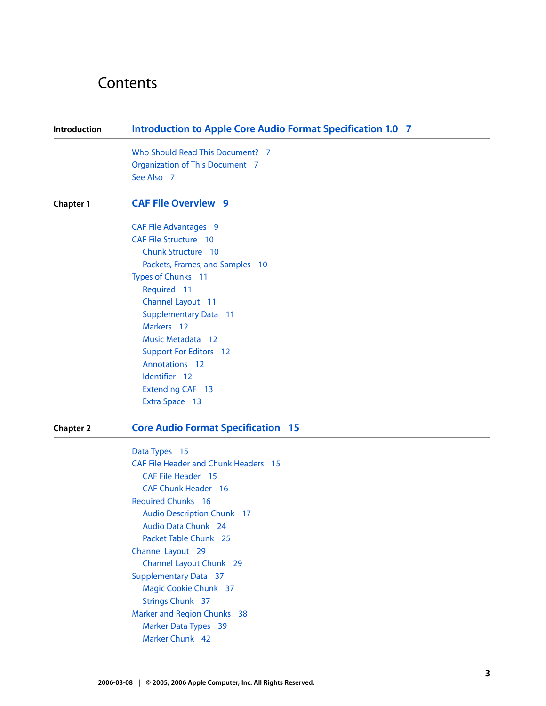## **Contents**

| <b>Introduction</b> | Introduction to Apple Core Audio Format Specification 1.0 7 |  |  |
|---------------------|-------------------------------------------------------------|--|--|
|                     | Who Should Read This Document? 7                            |  |  |
|                     | <b>Organization of This Document 7</b>                      |  |  |
|                     | See Also 7                                                  |  |  |
| <b>Chapter 1</b>    | <b>CAF File Overview 9</b>                                  |  |  |
|                     | <b>CAF File Advantages 9</b>                                |  |  |
|                     | <b>CAF File Structure 10</b>                                |  |  |
|                     | Chunk Structure 10                                          |  |  |
|                     | Packets, Frames, and Samples 10                             |  |  |
|                     | Types of Chunks 11                                          |  |  |
|                     | Required 11                                                 |  |  |
|                     | Channel Layout 11                                           |  |  |
|                     | <b>Supplementary Data 11</b>                                |  |  |
|                     | Markers 12                                                  |  |  |
|                     | <b>Music Metadata 12</b>                                    |  |  |
|                     | <b>Support For Editors 12</b>                               |  |  |
|                     | Annotations 12                                              |  |  |
|                     | Identifier 12                                               |  |  |
|                     | <b>Extending CAF 13</b>                                     |  |  |
|                     | Extra Space 13                                              |  |  |
| <b>Chapter 2</b>    | <b>Core Audio Format Specification 15</b>                   |  |  |
|                     | Data Types 15                                               |  |  |
|                     | <b>CAF File Header and Chunk Headers 15</b>                 |  |  |
|                     | <b>CAF File Header 15</b>                                   |  |  |
|                     | <b>CAF Chunk Header 16</b>                                  |  |  |
|                     | <b>Required Chunks</b> 16                                   |  |  |
|                     | <b>Audio Description Chunk 17</b>                           |  |  |
|                     | <b>Audio Data Chunk 24</b>                                  |  |  |
|                     | Packet Table Chunk 25                                       |  |  |
|                     | Channel Layout 29                                           |  |  |
|                     | <b>Channel Layout Chunk 29</b>                              |  |  |
|                     | <b>Supplementary Data 37</b>                                |  |  |
|                     | <b>Magic Cookie Chunk 37</b>                                |  |  |
|                     | <b>Strings Chunk 37</b>                                     |  |  |
|                     | Marker and Region Chunks 38                                 |  |  |
|                     | Marker Data Types 39                                        |  |  |
|                     | Marker Chunk 42                                             |  |  |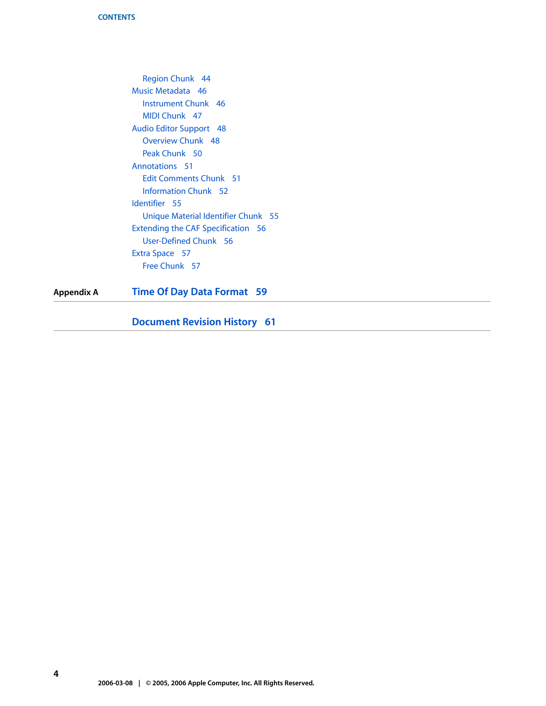[Region](#page-43-0) Chunk 44 Music [Metadata](#page-45-0) 46 [Instrument](#page-45-1) Chunk 46 MIDI [Chunk](#page-46-0) 47 Audio Editor [Support](#page-47-0) 48 [Overview](#page-47-1) Chunk 48 Peak [Chunk](#page-49-0) 50 [Annotations](#page-50-0) 51 Edit [Comments](#page-50-1) Chunk 51 [Information](#page-51-0) Chunk 52 [Identifier](#page-54-0) 55 Unique Material [Identifier](#page-54-1) Chunk 55 Extending the CAF [Specification](#page-55-0) 56 [User-Defined](#page-55-1) Chunk 56 Extra [Space](#page-56-0) 57 Free [Chunk](#page-56-1) 57

**Appendix A Time Of Day Data [Format](#page-58-0) 59**

**[Document](#page-60-0) Revision History 61**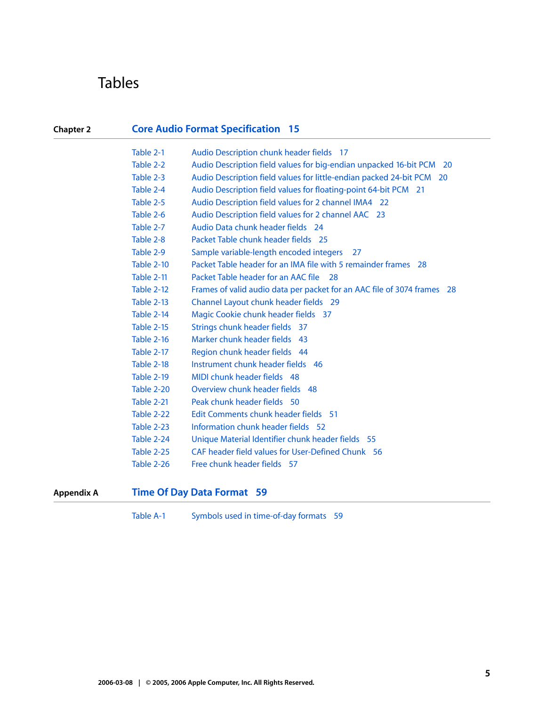## Tables

| Chapter |  |
|---------|--|
|         |  |

### **Chapter 2 Core Audio Format [Specification](#page-14-0) 15**

| Table 2-1         | Audio Description chunk header fields 17                                 |
|-------------------|--------------------------------------------------------------------------|
| Table 2-2         | Audio Description field values for big-endian unpacked 16-bit PCM 20     |
| Table 2-3         | Audio Description field values for little-endian packed 24-bit PCM<br>20 |
| Table 2-4         | Audio Description field values for floating-point 64-bit PCM 21          |
| Table 2-5         | Audio Description field values for 2 channel IMA4 22                     |
| Table 2-6         | Audio Description field values for 2 channel AAC 23                      |
| Table 2-7         | Audio Data chunk header fields 24                                        |
| Table 2-8         | Packet Table chunk header fields 25                                      |
| Table 2-9         | Sample variable-length encoded integers<br>27                            |
| <b>Table 2-10</b> | Packet Table header for an IMA file with 5 remainder frames 28           |
| <b>Table 2-11</b> | Packet Table header for an AAC file<br>28                                |
| Table 2-12        | Frames of valid audio data per packet for an AAC file of 3074 frames 28  |
| <b>Table 2-13</b> | Channel Layout chunk header fields 29                                    |
| Table 2-14        | Magic Cookie chunk header fields 37                                      |
| <b>Table 2-15</b> | Strings chunk header fields 37                                           |
| <b>Table 2-16</b> | Marker chunk header fields 43                                            |
| Table 2-17        | Region chunk header fields 44                                            |
| Table 2-18        | Instrument chunk header fields 46                                        |
| <b>Table 2-19</b> | MIDI chunk header fields 48                                              |
| Table 2-20        | Overview chunk header fields 48                                          |
| Table 2-21        | Peak chunk header fields 50                                              |
| Table 2-22        | Edit Comments chunk header fields 51                                     |
| Table 2-23        | Information chunk header fields 52                                       |
| Table 2-24        | Unique Material Identifier chunk header fields 55                        |
| Table 2-25        | CAF header field values for User-Defined Chunk 56                        |
| Table 2-26        | Free chunk header fields 57                                              |

### **Appendix A Time Of Day Data [Format](#page-58-0) 59**

[Table](#page-58-1) A-1 Symbols used in [time-of-day](#page-58-1) formats 59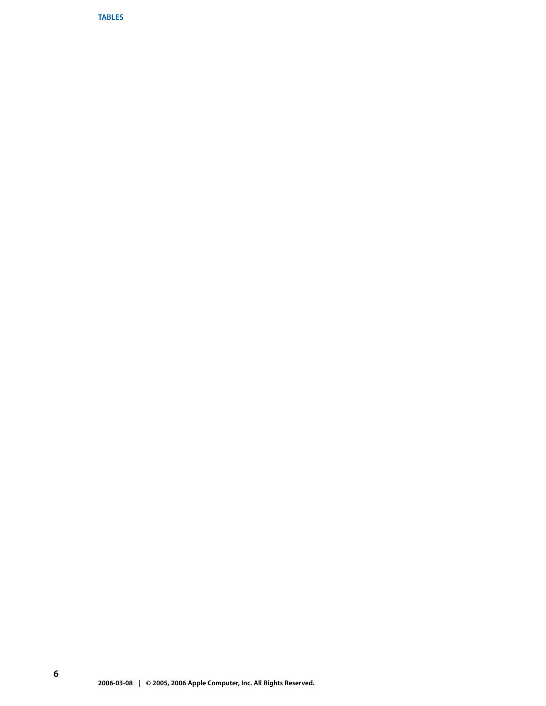**TABLES**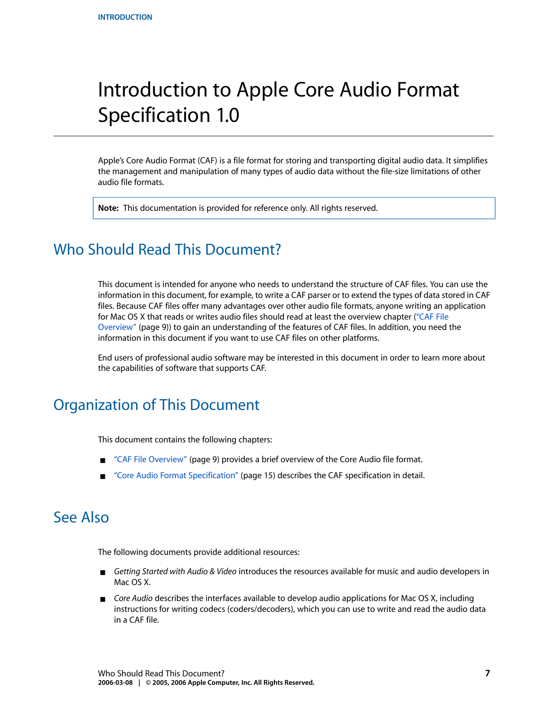# <span id="page-6-0"></span>Introduction to Apple Core Audio Format Specification 1.0

Apple's Core Audio Format (CAF) is a file format for storing and transporting digital audio data. It simplifies the management and manipulation of many types of audio data without the file-size limitations of other audio file formats.

<span id="page-6-1"></span>**Note:** This documentation is provided for reference only. All rights reserved.

## Who Should Read This Document?

This document is intended for anyone who needs to understand the structure of CAF files. You can use the information in this document, for example, to write a CAF parser or to extend the types of data stored in CAF files. Because CAF files offer many advantages over other audio file formats, anyone writing an application for Mac OS X that reads or writes audio files should read at least the overview chapter (["CAF](#page-8-2) File [Overview"](#page-8-2) (page 9)) to gain an understanding of the features of CAF files. In addition, you need the information in this document if you want to use CAF files on other platforms.

End users of professional audio software may be interested in this document in order to learn more about the capabilities of software that supports CAF.

## <span id="page-6-2"></span>Organization of This Document

This document contains the following chapters:

- "CAF File [Overview"](#page-8-2) (page 9) provides a brief overview of the Core Audio file format.
- "Core Audio Format [Specification"](#page-14-4) (page 15) describes the CAF specification in detail.

## <span id="page-6-3"></span>See Also

The following documents provide additional resources:

- *Getting Started with Audio & Video* introduces the resources available for music and audio developers in Mac OS X.
- *Core Audio* describes the interfaces available to develop audio applications for Mac OS X, including instructions for writing codecs (coders/decoders), which you can use to write and read the audio data in a CAF file.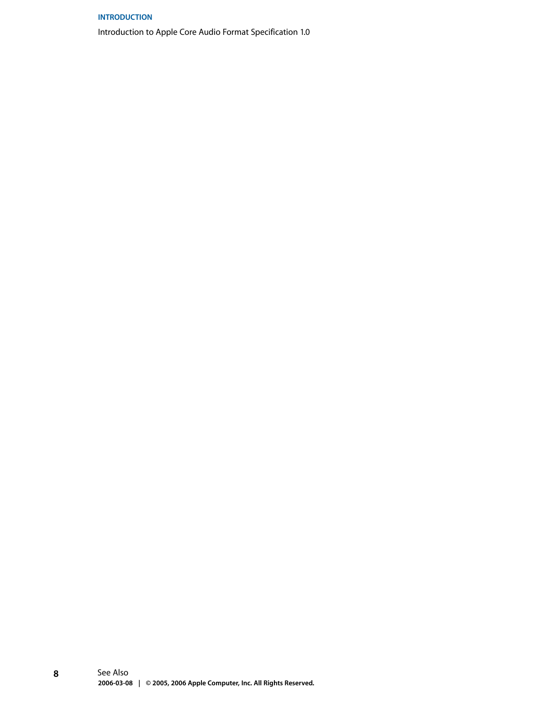### **INTRODUCTION**

Introduction to Apple Core Audio Format Specification 1.0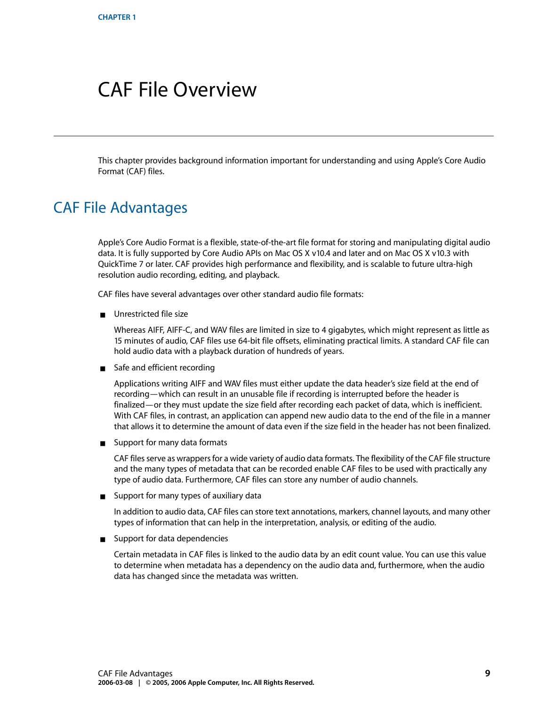# <span id="page-8-0"></span>CAF File Overview

<span id="page-8-2"></span>This chapter provides background information important for understanding and using Apple's Core Audio Format (CAF) files.

## <span id="page-8-1"></span>CAF File Advantages

Apple's Core Audio Format is a flexible, state-of-the-art file format for storing and manipulating digital audio data. It is fully supported by Core Audio APIs on Mac OS X v10.4 and later and on Mac OS X v10.3 with QuickTime 7 or later. CAF provides high performance and flexibility, and is scalable to future ultra-high resolution audio recording, editing, and playback.

CAF files have several advantages over other standard audio file formats:

■ Unrestricted file size

Whereas AIFF, AIFF-C, and WAV files are limited in size to 4 gigabytes, which might represent as little as 15 minutes of audio, CAF files use 64-bit file offsets, eliminating practical limits. A standard CAF file can hold audio data with a playback duration of hundreds of years.

Safe and efficient recording

Applications writing AIFF and WAV files must either update the data header's size field at the end of recording—which can result in an unusable file if recording is interrupted before the header is finalized—or they must update the size field after recording each packet of data, which is inefficient. With CAF files, in contrast, an application can append new audio data to the end of the file in a manner that allows it to determine the amount of data even if the size field in the header has not been finalized.

Support for many data formats

CAF files serve as wrappers for a wide variety of audio data formats. The flexibility of the CAF file structure and the many types of metadata that can be recorded enable CAF files to be used with practically any type of audio data. Furthermore, CAF files can store any number of audio channels.

■ Support for many types of auxiliary data

In addition to audio data, CAF files can store text annotations, markers, channel layouts, and many other types of information that can help in the interpretation, analysis, or editing of the audio.

Support for data dependencies

Certain metadata in CAF files is linked to the audio data by an edit count value. You can use this value to determine when metadata has a dependency on the audio data and, furthermore, when the audio data has changed since the metadata was written.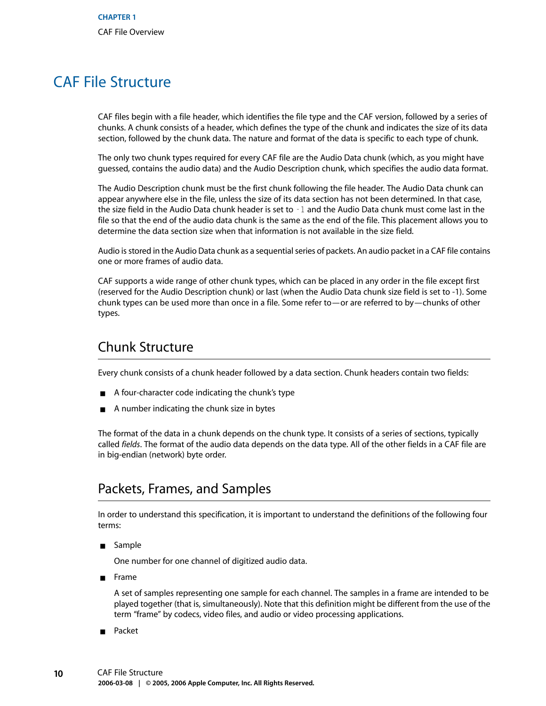## <span id="page-9-0"></span>CAF File Structure

CAF files begin with a file header, which identifies the file type and the CAF version, followed by a series of chunks. A chunk consists of a header, which defines the type of the chunk and indicates the size of its data section, followed by the chunk data. The nature and format of the data is specific to each type of chunk.

The only two chunk types required for every CAF file are the Audio Data chunk (which, as you might have guessed, contains the audio data) and the Audio Description chunk, which specifies the audio data format.

The Audio Description chunk must be the first chunk following the file header. The Audio Data chunk can appear anywhere else in the file, unless the size of its data section has not been determined. In that case, the size field in the Audio Data chunk header is set to -1 and the Audio Data chunk must come last in the file so that the end of the audio data chunk is the same as the end of the file. This placement allows you to determine the data section size when that information is not available in the size field.

Audio is stored in the Audio Data chunk as a sequential series of packets. An audio packet in a CAF file contains one or more frames of audio data.

<span id="page-9-1"></span>CAF supports a wide range of other chunk types, which can be placed in any order in the file except first (reserved for the Audio Description chunk) or last (when the Audio Data chunk size field is set to -1). Some chunk types can be used more than once in a file. Some refer to—or are referred to by—chunks of other types.

## Chunk Structure

Every chunk consists of a chunk header followed by a data section. Chunk headers contain two fields:

- A four-character code indicating the chunk's type
- A number indicating the chunk size in bytes

<span id="page-9-2"></span>The format of the data in a chunk depends on the chunk type. It consists of a series of sections, typically called *fields*. The format of the audio data depends on the data type. All of the other fields in a CAF file are in big-endian (network) byte order.

## Packets, Frames, and Samples

In order to understand this specification, it is important to understand the definitions of the following four terms:

■ Sample

One number for one channel of digitized audio data.

■ Frame

A set of samples representing one sample for each channel. The samples in a frame are intended to be played together (that is, simultaneously). Note that this definition might be different from the use of the term "frame" by codecs, video files, and audio or video processing applications.

■ Packet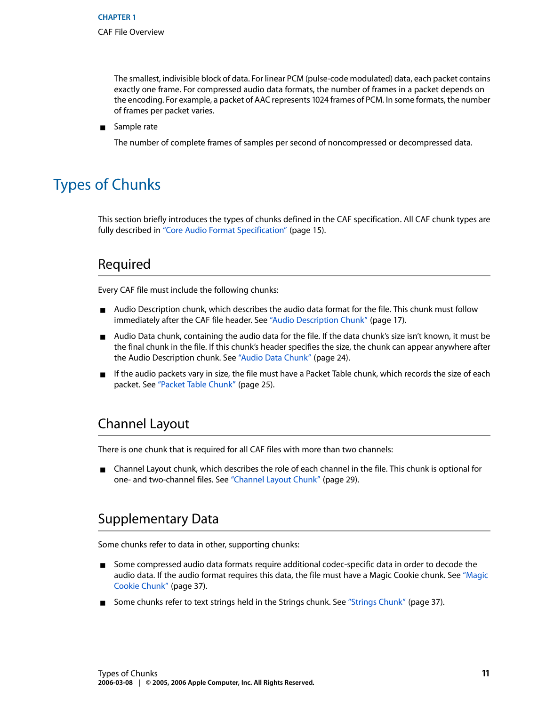The smallest, indivisible block of data. For linear PCM (pulse-code modulated) data, each packet contains exactly one frame. For compressed audio data formats, the number of frames in a packet depends on the encoding. For example, a packet of AAC represents 1024 frames of PCM. In some formats, the number of frames per packet varies.

Sample rate

The number of complete frames of samples per second of noncompressed or decompressed data.

## <span id="page-10-0"></span>Types of Chunks

<span id="page-10-1"></span>This section briefly introduces the types of chunks defined in the CAF specification. All CAF chunk types are fully described in "Core Audio Format [Specification"](#page-14-4) (page 15).

## Required

Every CAF file must include the following chunks:

- Audio Description chunk, which describes the audio data format for the file. This chunk must follow immediately after the CAF file header. See "Audio [Description](#page-16-0) Chunk" (page 17).
- Audio Data chunk, containing the audio data for the file. If the data chunk's size isn't known, it must be the final chunk in the file. If this chunk's header specifies the size, the chunk can appear anywhere after the Audio Description chunk. See "Audio Data [Chunk"](#page-23-0) (page 24).
- <span id="page-10-2"></span>■ If the audio packets vary in size, the file must have a Packet Table chunk, which records the size of each packet. See ["Packet](#page-24-0) Table Chunk" (page 25).

## Channel Layout

There is one chunk that is required for all CAF files with more than two channels:

<span id="page-10-3"></span>Channel Layout chunk, which describes the role of each channel in the file. This chunk is optional for one- and two-channel files. See ["Channel](#page-28-1) Layout Chunk" (page 29).

## Supplementary Data

Some chunks refer to data in other, supporting chunks:

- Some compressed audio data formats require additional codec-specific data in order to decode the audio data. If the audio format requires this data, the file must have a Magic Cookie chunk. See ["Magic](#page-36-1) Cookie [Chunk"](#page-36-1) (page 37).
- Some chunks refer to text strings held in the Strings chunk. See ["Strings](#page-36-2) Chunk" (page 37).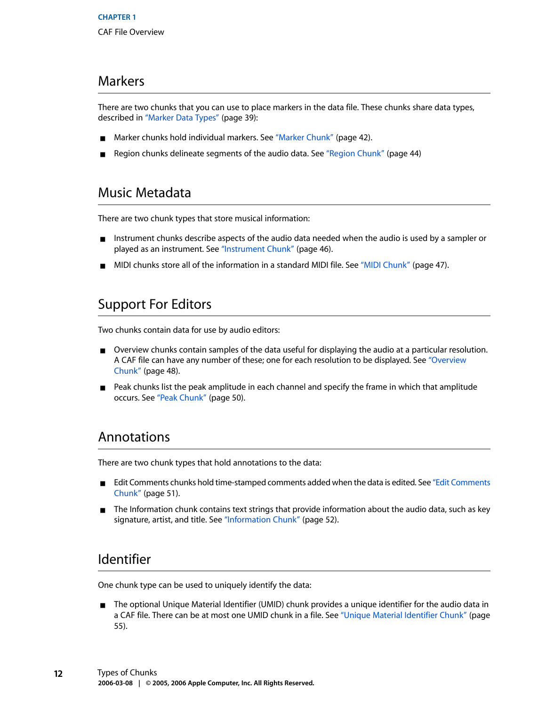### <span id="page-11-0"></span>Markers

There are two chunks that you can use to place markers in the data file. These chunks share data types, described in ["Marker](#page-38-0) Data Types" (page 39):

- Marker chunks hold individual markers. See ["Marker](#page-41-0) Chunk" (page 42).
- <span id="page-11-1"></span>Region chunks delineate segments of the audio data. See ["Region](#page-43-0) Chunk" (page 44)

## Music Metadata

There are two chunk types that store musical information:

- Instrument chunks describe aspects of the audio data needed when the audio is used by a sampler or played as an instrument. See ["Instrument](#page-45-1) Chunk" (page 46).
- <span id="page-11-2"></span>MIDI chunks store all of the information in a standard MIDI file. See "MIDI [Chunk"](#page-46-0) (page 47).

## Support For Editors

Two chunks contain data for use by audio editors:

- Overview chunks contain samples of the data useful for displaying the audio at a particular resolution. A CAF file can have any number of these; one for each resolution to be displayed. See ["Overview](#page-47-1) [Chunk"](#page-47-1) (page 48).
- <span id="page-11-3"></span>Peak chunks list the peak amplitude in each channel and specify the frame in which that amplitude occurs. See "Peak [Chunk"](#page-49-0) (page 50).

## Annotations

There are two chunk types that hold annotations to the data:

- Edit [Comments](#page-50-1) chunks hold time-stamped comments added when the data is edited. See "Edit Comments [Chunk"](#page-50-1) (page 51).
- <span id="page-11-4"></span>The Information chunk contains text strings that provide information about the audio data, such as key signature, artist, and title. See ["Information](#page-51-0) Chunk" (page 52).

## Identifier

One chunk type can be used to uniquely identify the data:

■ The optional Unique Material Identifier (UMID) chunk provides a unique identifier for the audio data in a CAF file. There can be at most one UMID chunk in a file. See "Unique Material [Identifier](#page-54-1) Chunk" (page 55).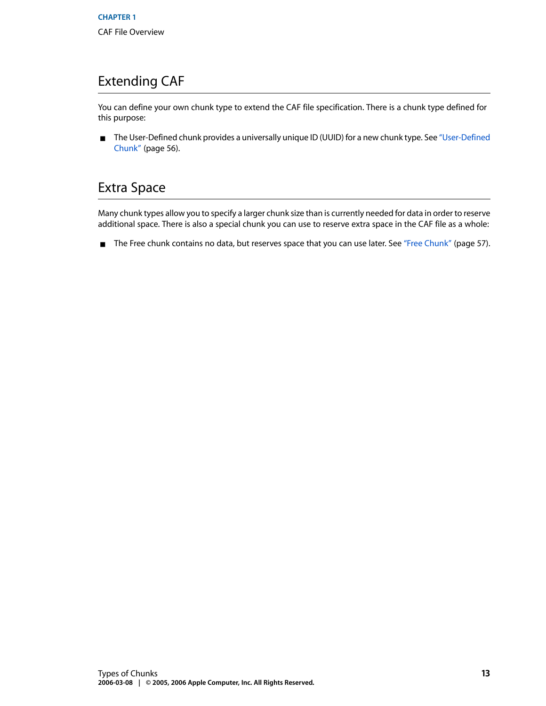## <span id="page-12-0"></span>Extending CAF

You can define your own chunk type to extend the CAF file specification. There is a chunk type defined for this purpose:

■ The User-Defined chunk provides a universally unique ID (UUID) for a new chunk type. See ["User-Defined](#page-55-1) [Chunk"](#page-55-1) (page 56).

## <span id="page-12-1"></span>Extra Space

Many chunk types allow you to specify a larger chunk size than is currently needed for data in order to reserve additional space. There is also a special chunk you can use to reserve extra space in the CAF file as a whole:

■ The Free chunk contains no data, but reserves space that you can use later. See "Free [Chunk"](#page-56-1) (page 57).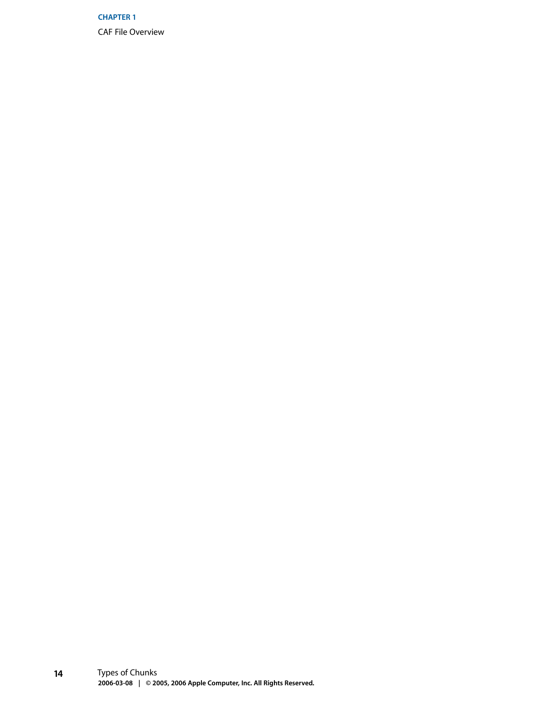**CHAPTER 1** CAF File Overview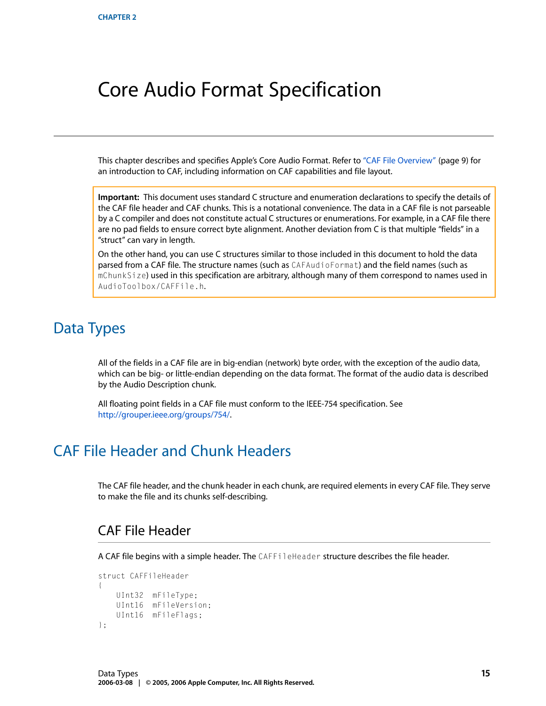# <span id="page-14-0"></span>Core Audio Format Specification

<span id="page-14-4"></span>This chapter describes and specifies Apple's Core Audio Format. Refer to "CAF File [Overview"](#page-8-2) (page 9) for an introduction to CAF, including information on CAF capabilities and file layout.

**Important:** This document uses standard C structure and enumeration declarations to specify the details of the CAF file header and CAF chunks. This is a notational convenience. The data in a CAF file is not parseable by a C compiler and does not constitute actual C structures or enumerations. For example, in a CAF file there are no pad fields to ensure correct byte alignment. Another deviation from C is that multiple "fields" in a "struct" can vary in length.

On the other hand, you can use C structures similar to those included in this document to hold the data parsed from a CAF file. The structure names (such as CAFAudioFormat) and the field names (such as mChunkSize) used in this specification are arbitrary, although many of them correspond to names used in AudioToolbox/CAFFile.h.

## <span id="page-14-1"></span>Data Types

All of the fields in a CAF file are in big-endian (network) byte order, with the exception of the audio data, which can be big- or little-endian depending on the data format. The format of the audio data is described by the Audio Description chunk.

All floating point fields in a CAF file must conform to the IEEE-754 specification. See [http://grouper.ieee.org/groups/754/.](http://grouper.ieee.org/groups/754/)

## <span id="page-14-2"></span>CAF File Header and Chunk Headers

<span id="page-14-3"></span>The CAF file header, and the chunk header in each chunk, are required elements in every CAF file. They serve to make the file and its chunks self-describing.

### CAF File Header

A CAF file begins with a simple header. The CAFFileHeader structure describes the file header.

```
struct CAFFileHeader
{
    UInt32 mFileType;
    UInt16 mFileVersion;
    UInt16 mFileFlags;
};
```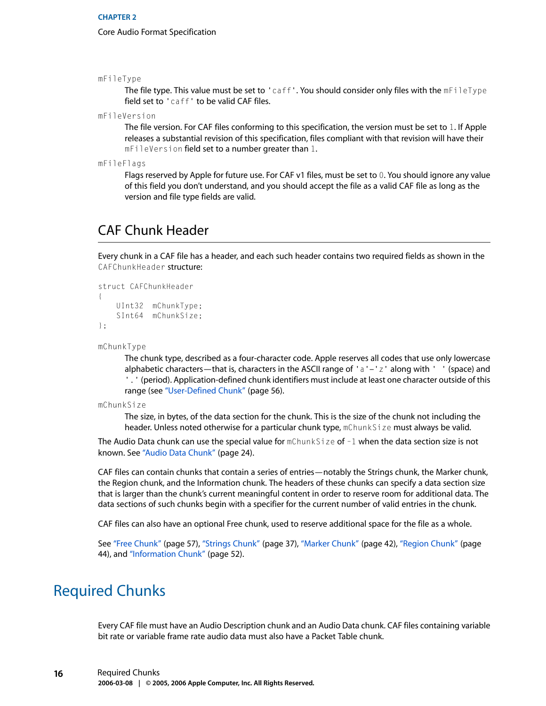#### Core Audio Format Specification

```
mFileType
```
The file type. This value must be set to 'caff'. You should consider only files with the mFileType field set to 'caff' to be valid CAF files.

```
mFileVersion
```
The file version. For CAF files conforming to this specification, the version must be set to 1. If Apple releases a substantial revision of this specification, files compliant with that revision will have their mFileVersion field set to a number greater than 1.

mFileFlags

Flags reserved by Apple for future use. For CAF v1 files, must be set to 0. You should ignore any value of this field you don't understand, and you should accept the file as a valid CAF file as long as the version and file type fields are valid.

## <span id="page-15-0"></span>CAF Chunk Header

Every chunk in a CAF file has a header, and each such header contains two required fields as shown in the CAFChunkHeader structure:

```
struct CAFChunkHeader
{
    UInt32 mChunkType;
     SInt64 mChunkSize;
};
```
mChunkType

The chunk type, described as a four-character code. Apple reserves all codes that use only lowercase alphabetic characters—that is, characters in the ASCII range of 'a'–'z' along with ' ' (space) and '.' (period). Application-defined chunk identifiers must include at least one character outside of this range (see ["User-Defined](#page-55-1) Chunk" (page 56).

#### mChunkSize

The size, in bytes, of the data section for the chunk. This is the size of the chunk not including the header. Unless noted otherwise for a particular chunk type, mChunkSize must always be valid.

The Audio Data chunk can use the special value for mChunkSize of  $-1$  when the data section size is not known. See "Audio Data [Chunk"](#page-23-0) (page 24).

CAF files can contain chunks that contain a series of entries—notably the Strings chunk, the Marker chunk, the Region chunk, and the Information chunk. The headers of these chunks can specify a data section size that is larger than the chunk's current meaningful content in order to reserve room for additional data. The data sections of such chunks begin with a specifier for the current number of valid entries in the chunk.

<span id="page-15-1"></span>CAF files can also have an optional Free chunk, used to reserve additional space for the file as a whole.

See "Free [Chunk"](#page-56-1) (page 57), ["Strings](#page-36-2) Chunk" (page 37), ["Marker](#page-41-0) Chunk" (page 42), ["Region](#page-43-0) Chunk" (page 44), and ["Information](#page-51-0) Chunk" (page 52).

## Required Chunks

Every CAF file must have an Audio Description chunk and an Audio Data chunk. CAF files containing variable bit rate or variable frame rate audio data must also have a Packet Table chunk.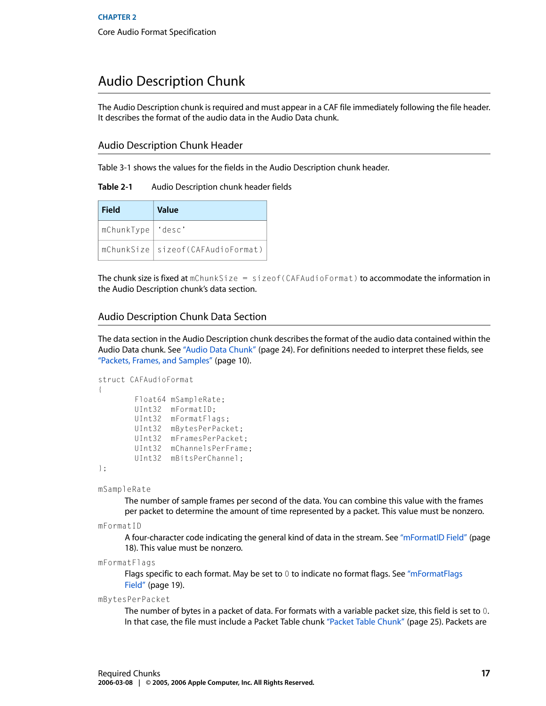## <span id="page-16-0"></span>Audio Description Chunk

The Audio Description chunk is required and must appear in a CAF file immediately following the file header. It describes the format of the audio data in the Audio Data chunk.

### Audio Description Chunk Header

<span id="page-16-1"></span>Table 3-1 shows the values for the fields in the Audio Description chunk header.

| Table 2-1 |  | Audio Description chunk header fields |
|-----------|--|---------------------------------------|
|-----------|--|---------------------------------------|

| Field               | Value                               |
|---------------------|-------------------------------------|
| mChunkType   'desc' |                                     |
|                     | $mChunkSize$ sizeof(CAFAudioFormat) |

<span id="page-16-2"></span>The chunk size is fixed at  $mChunkSize = sizeOf(CAFAudioFormat)$  to accommodate the information in the Audio Description chunk's data section.

### Audio Description Chunk Data Section

The data section in the Audio Description chunk describes the format of the audio data contained within the Audio Data chunk. See "Audio Data [Chunk"](#page-23-0) (page 24). For definitions needed to interpret these fields, see "Packets, Frames, and [Samples"](#page-9-2) (page 10).

```
struct CAFAudioFormat
{
         Float64 mSampleRate;
        UInt32 mFormatID;
         UInt32 mFormatFlags;
        UInt32 mBytesPerPacket;
        UInt32 mFramesPerPacket;
         UInt32 mChannelsPerFrame;
        UInt32 mBitsPerChannel;
};
```

```
mSampleRate
```
The number of sample frames per second of the data. You can combine this value with the frames per packet to determine the amount of time represented by a packet. This value must be nonzero.

mFormatID

A four-character code indicating the general kind of data in the stream. See ["mFormatID](#page-17-0) Field" (page 18). This value must be nonzero.

```
mFormatFlags
```
Flags specific to each format. May be set to 0 to indicate no format flags. See ["mFormatFlags](#page-18-0) [Field"](#page-18-0) (page 19).

mBytesPerPacket

The number of bytes in a packet of data. For formats with a variable packet size, this field is set to 0. In that case, the file must include a Packet Table chunk ["Packet](#page-24-0) Table Chunk" (page 25). Packets are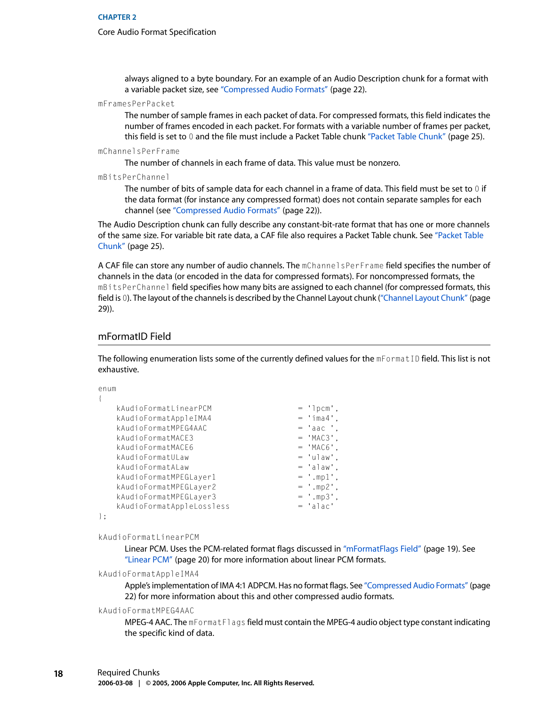always aligned to a byte boundary. For an example of an Audio Description chunk for a format with a variable packet size, see ["Compressed](#page-21-1) Audio Formats" (page 22).

```
mFramesPerPacket
```
The number of sample frames in each packet of data. For compressed formats, this field indicates the number of frames encoded in each packet. For formats with a variable number of frames per packet, this field is set to 0 and the file must include a Packet Table chunk ["Packet](#page-24-0) Table Chunk" (page 25).

```
mChannelsPerFrame
```
The number of channels in each frame of data. This value must be nonzero.

mBitsPerChannel

The number of bits of sample data for each channel in a frame of data. This field must be set to 0 if the data format (for instance any compressed format) does not contain separate samples for each channel (see ["Compressed](#page-21-1) Audio Formats" (page 22)).

The Audio Description chunk can fully describe any constant-bit-rate format that has one or more channels of the same size. For variable bit rate data, a CAF file also requires a Packet Table chunk. See ["Packet](#page-24-0) Table [Chunk"](#page-24-0) (page 25).

A CAF file can store any number of audio channels. The mChannelsPerFrame field specifies the number of channels in the data (or encoded in the data for compressed formats). For noncompressed formats, the mBitsPerChannel field specifies how many bits are assigned to each channel (for compressed formats, this field is 0). The layout of the channels is described by the Channel Layout chunk (["Channel](#page-28-1) Layout Chunk" (page 29)).

### <span id="page-17-0"></span>mFormatID Field

The following enumeration lists some of the currently defined values for the mFormatID field. This list is not exhaustive.

```
enum
{
```

```
 kAudioFormatLinearPCM = 'lpcm',
 kAudioFormatAppleIMA4 = 'ima4',
kAudioFormatMPEG4AAC
 kAudioFormatMACE3 = 'MAC3',
kAudioFormatMACE6 = 'MAC6',
 kAudioFormatULaw = 'ulaw',
 kAudioFormatALaw = 'alaw',
kAudioFormatMPEGLayer1 = '.mp1',<br>kAudioFormatMPEGLayer2 = '.mp2',
kAudioFormatMPEGLayer2
 kAudioFormatMPEGLayer3 = '.mp3',
 kAudioFormatAppleLossless = 'alac'
```

```
};
```
kAudioFormatLinearPCM

Linear PCM. Uses the PCM-related format flags discussed in ["mFormatFlags](#page-18-0) Field" (page 19). See ["Linear](#page-19-2) PCM" (page 20) for more information about linear PCM formats.

kAudioFormatAppleIMA4

Apple'simplementation of IMA 4:1 ADPCM. Has no format flags. See ["Compressed](#page-21-1) Audio Formats" (page 22) for more information about this and other compressed audio formats.

kAudioFormatMPEG4AAC

MPEG-4 AAC. The mFormatFlags field must contain the MPEG-4 audio object type constant indicating the specific kind of data.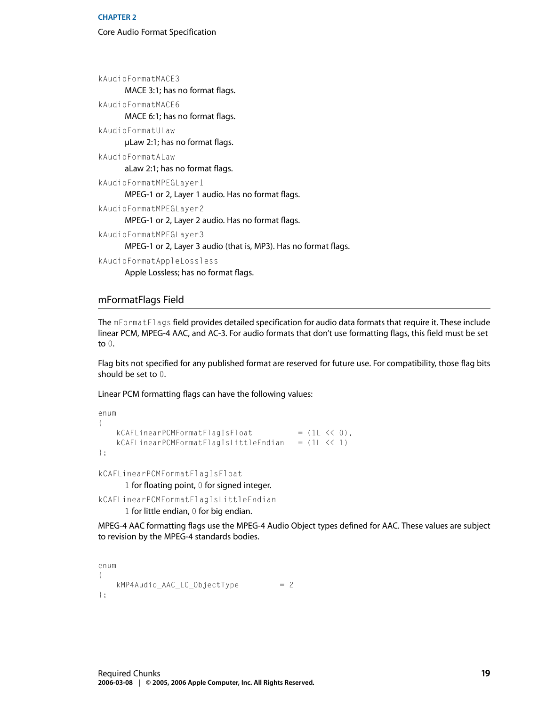#### **CHAPTER 2**

#### Core Audio Format Specification

kAudioFormatMACE3 MACE 3:1; has no format flags. kAudioFormatMACE6 MACE 6:1; has no format flags. kAudioFormatULaw μLaw 2:1; has no format flags. kAudioFormatALaw aLaw 2:1; has no format flags. kAudioFormatMPEGLayer1 MPEG-1 or 2, Layer 1 audio. Has no format flags. kAudioFormatMPEGLayer2 MPEG-1 or 2, Layer 2 audio. Has no format flags. kAudioFormatMPEGLayer3 MPEG-1 or 2, Layer 3 audio (that is, MP3). Has no format flags.

<span id="page-18-0"></span>kAudioFormatAppleLossless

Apple Lossless; has no format flags.

#### mFormatFlags Field

The mFormatFlags field provides detailed specification for audio data formats that require it. These include linear PCM, MPEG-4 AAC, and AC-3. For audio formats that don't use formatting flags, this field must be set to 0.

Flag bits not specified for any published format are reserved for future use. For compatibility, those flag bits should be set to 0.

Linear PCM formatting flags can have the following values:

enum

```
{
    kCAFLinearPCMFormatFlagIsFload = (1L \langle\langle 0 \rangle,
    kCAFLinearPCMFormatFlagIsLittleEndian = (1L << 1)};
```
kCAFLinearPCMFormatFlagIsFloat

1 for floating point, 0 for signed integer.

kCAFLinearPCMFormatFlagIsLittleEndian 1 for little endian, 0 for big endian.

MPEG-4 AAC formatting flags use the MPEG-4 Audio Object types defined for AAC. These values are subject to revision by the MPEG-4 standards bodies.

```
enum
{
    kMP4Audio_AAC_LC_ObjectType = 2
};
```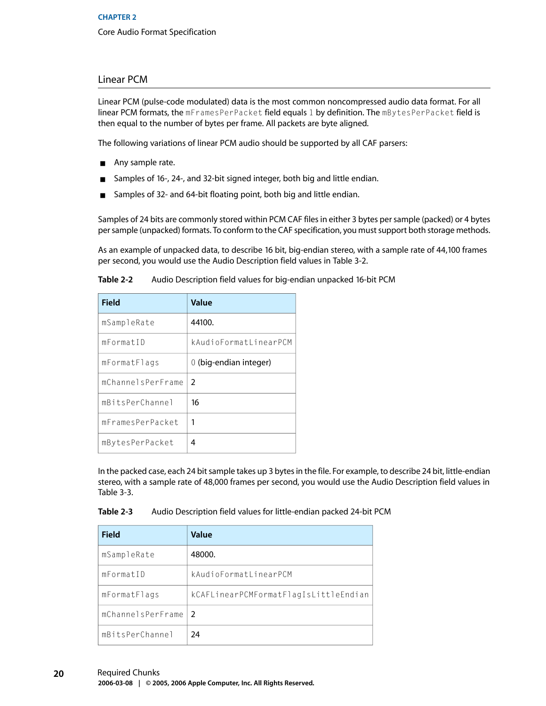### <span id="page-19-2"></span>Linear PCM

Linear PCM (pulse-code modulated) data is the most common noncompressed audio data format. For all linear PCM formats, the mFramesPerPacket field equals 1 by definition. The mBytesPerPacket field is then equal to the number of bytes per frame. All packets are byte aligned.

The following variations of linear PCM audio should be supported by all CAF parsers:

- Any sample rate.
- Samples of 16-, 24-, and 32-bit signed integer, both big and little endian.
- Samples of 32- and 64-bit floating point, both big and little endian.

Samples of 24 bits are commonly stored within PCM CAF files in either 3 bytes per sample (packed) or 4 bytes persample (unpacked) formats. To conform to the CAF specification, you mustsupport both storage methods.

<span id="page-19-0"></span>As an example of unpacked data, to describe 16 bit, big-endian stereo, with a sample rate of 44,100 frames per second, you would use the Audio Description field values in Table 3-2.

| Field             | Value                  |
|-------------------|------------------------|
| mSampleRate       | 44100.                 |
| $m$ FormatID      | kAudioFormatLinearPCM  |
| mFormatFlags      | 0 (big-endian integer) |
| mChannelsPerFrame | $\mathcal{P}$          |
| mBitsPerChannel   | 16                     |
| mFramesPerPacket  | 1                      |
| mBytesPerPacket   | 4                      |

**Table 2-2** Audio Description field values for big-endian unpacked 16-bit PCM

<span id="page-19-1"></span>In the packed case, each 24 bit sample takes up 3 bytes in the file. For example, to describe 24 bit, little-endian stereo, with a sample rate of 48,000 frames per second, you would use the Audio Description field values in Table 3-3.

**Table 2-3** Audio Description field values for little-endian packed 24-bit PCM

| <b>Field</b>      | <b>Value</b>                          |
|-------------------|---------------------------------------|
| mSampleRate       | 48000.                                |
| $m$ FormatID      | kAudioFormatLinearPCM                 |
| mFormatFlags      | kCAFLinearPCMFormatFlagIsLittleEndian |
| mChannelsPerFrame | 2                                     |
| mBitsPerChannel   | 24                                    |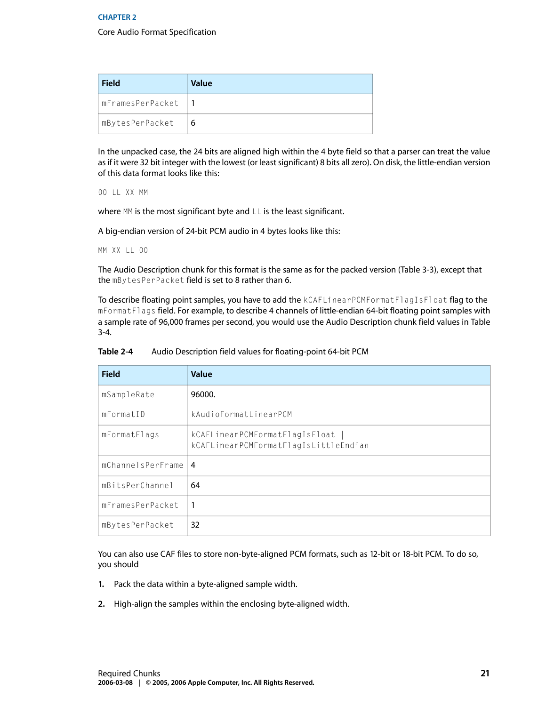#### **CHAPTER 2**

Core Audio Format Specification

| <b>Field</b>     | <b>Value</b> |
|------------------|--------------|
| mFramesPerPacket |              |
| mBytesPerPacket  | 6            |

In the unpacked case, the 24 bits are aligned high within the 4 byte field so that a parser can treat the value as if it were 32 bit integer with the lowest (or least significant) 8 bits all zero). On disk, the little-endian version of this data format looks like this:

00 LL XX MM

where MM is the most significant byte and LL is the least significant.

A big-endian version of 24-bit PCM audio in 4 bytes looks like this:

MM XX LL 00

The Audio Description chunk for this format is the same as for the packed version (Table 3-3), except that the mBytesPerPacket field is set to 8 rather than 6.

<span id="page-20-0"></span>To describe floating point samples, you have to add the kCAFLinearPCMFormatFlagIsFloat flag to the mFormatFlags field. For example, to describe 4 channels of little-endian 64-bit floating point samples with a sample rate of 96,000 frames per second, you would use the Audio Description chunk field values in Table 3-4.

| <b>Field</b>      | <b>Value</b>                                                            |
|-------------------|-------------------------------------------------------------------------|
| mSampleRate       | 96000.                                                                  |
| $m$ FormatID      | kAudioFormatLinearPCM                                                   |
| mFormatFlags      | kCAFLinearPCMFormatFlagIsFloat<br>kCAFLinearPCMFormatFlagIsLittleEndian |
| mChannelsPerFrame | $\overline{4}$                                                          |
| mBitsPerChannel   | 64                                                                      |
| mFramesPerPacket  | 1                                                                       |
| mBytesPerPacket   | 32                                                                      |

**Table 2-4** Audio Description field values for floating-point 64-bit PCM

You can also use CAF files to store non-byte-aligned PCM formats, such as 12-bit or 18-bit PCM. To do so, you should

- **1.** Pack the data within a byte-aligned sample width.
- **2.** High-align the samples within the enclosing byte-aligned width.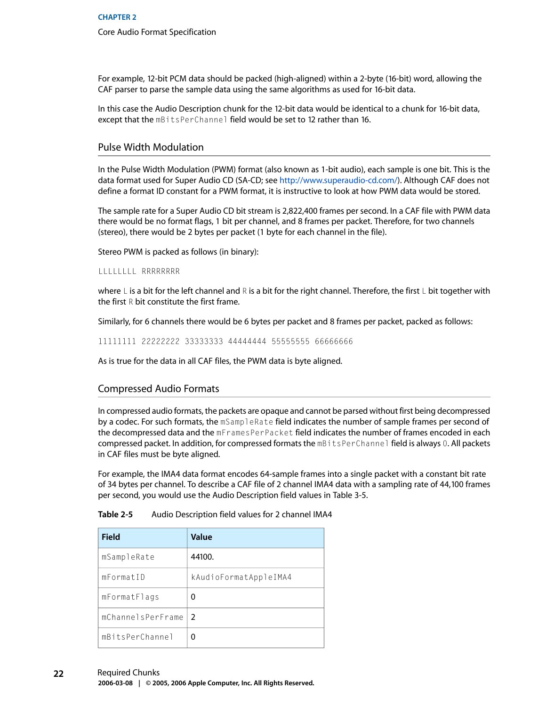For example, 12-bit PCM data should be packed (high-aligned) within a 2-byte (16-bit) word, allowing the CAF parser to parse the sample data using the same algorithms as used for 16-bit data.

In this case the Audio Description chunk for the 12-bit data would be identical to a chunk for 16-bit data, except that the mBitsPerChannel field would be set to 12 rather than 16.

### Pulse Width Modulation

In the Pulse Width Modulation (PWM) format (also known as 1-bit audio), each sample is one bit. This is the data format used for Super Audio CD (SA-CD; see [http://www.superaudio-cd.com/\)](http://www.superaudio-cd.com/). Although CAF does not define a format ID constant for a PWM format, it is instructive to look at how PWM data would be stored.

The sample rate for a Super Audio CD bit stream is 2,822,400 frames per second. In a CAF file with PWM data there would be no format flags, 1 bit per channel, and 8 frames per packet. Therefore, for two channels (stereo), there would be 2 bytes per packet (1 byte for each channel in the file).

Stereo PWM is packed as follows (in binary):

#### LLLLLLLL RRRRRRRR

where L is a bit for the left channel and R is a bit for the right channel. Therefore, the first L bit together with the first R bit constitute the first frame.

Similarly, for 6 channels there would be 6 bytes per packet and 8 frames per packet, packed as follows:

<span id="page-21-1"></span>11111111 22222222 33333333 44444444 55555555 66666666

As is true for the data in all CAF files, the PWM data is byte aligned.

### Compressed Audio Formats

In compressed audio formats, the packets are opaque and cannot be parsed without first being decompressed by a codec. For such formats, the mSampleRate field indicates the number of sample frames per second of the decompressed data and the mFramesPerPacket field indicates the number of frames encoded in each compressed packet. In addition, for compressed formats the mBitsPerChannel field is always 0. All packets in CAF files must be byte aligned.

<span id="page-21-0"></span>For example, the IMA4 data format encodes 64-sample frames into a single packet with a constant bit rate of 34 bytes per channel. To describe a CAF file of 2 channel IMA4 data with a sampling rate of 44,100 frames per second, you would use the Audio Description field values in Table 3-5.

| <b>Field</b>      | Value                 |
|-------------------|-----------------------|
| mSampleRate       | 44100.                |
| $m$ FormatID      | kAudioFormatAppleIMA4 |
| mFormatFlags      | 0                     |
| mChannelsPerFrame | $\vert$ 2             |
| mBitsPerChannel   | O)                    |

| Table 2-5 | Audio Description field values for 2 channel IMA4 |
|-----------|---------------------------------------------------|
|-----------|---------------------------------------------------|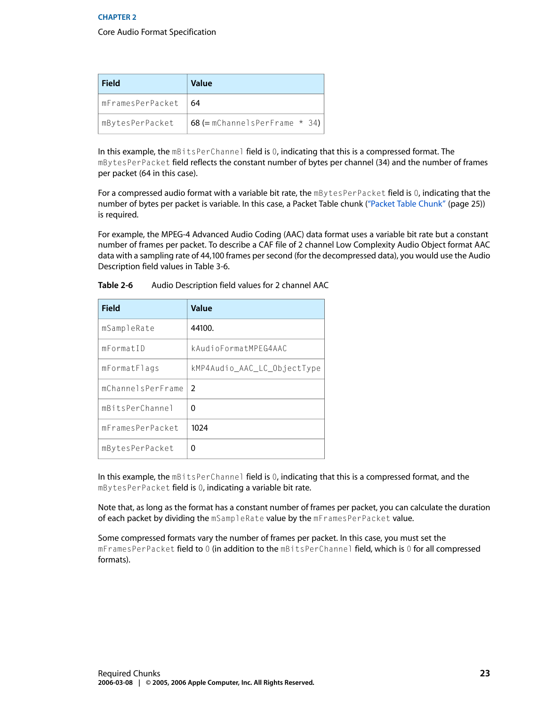| Field            | <b>Value</b>                        |
|------------------|-------------------------------------|
| mFramesPerPacket | 64                                  |
| mBytesPerPacket  | 68 (= mChannelsPerFrame $\star$ 34) |

In this example, the mBitsPerChannel field is 0, indicating that this is a compressed format. The mBytesPerPacket field reflects the constant number of bytes per channel (34) and the number of frames per packet (64 in this case).

For a compressed audio format with a variable bit rate, the mBytesPerPacket field is 0, indicating that the number of bytes per packet is variable. In this case, a Packet Table chunk [\("Packet](#page-24-0) Table Chunk" (page 25)) is required.

<span id="page-22-0"></span>For example, the MPEG-4 Advanced Audio Coding (AAC) data format uses a variable bit rate but a constant number of frames per packet. To describe a CAF file of 2 channel Low Complexity Audio Object format AAC data with a sampling rate of 44,100 frames persecond (for the decompressed data), you would use the Audio Description field values in Table 3-6.

| <b>Field</b>      | Value                       |
|-------------------|-----------------------------|
| mSampleRate       | 44100.                      |
| $m$ FormatID      | kAudioFormatMPFG4AAC        |
| mFormatFlags      | kMP4Audio_AAC_LC_ObjectType |
| mChannelsPerFrame | $\mathfrak{p}$              |
| mBitsPerChannel   | 0                           |
| mFramesPerPacket  | 1024                        |
| mBytesPerPacket   | 0                           |

In this example, the  $mBitsPerChannel$  field is 0, indicating that this is a compressed format, and the mBytesPerPacket field is 0, indicating a variable bit rate.

Note that, as long as the format has a constant number of frames per packet, you can calculate the duration of each packet by dividing the mSampleRate value by the mFramesPerPacket value.

Some compressed formats vary the number of frames per packet. In this case, you must set the mFramesPerPacket field to 0 (in addition to the mBitsPerChannel field, which is 0 for all compressed formats).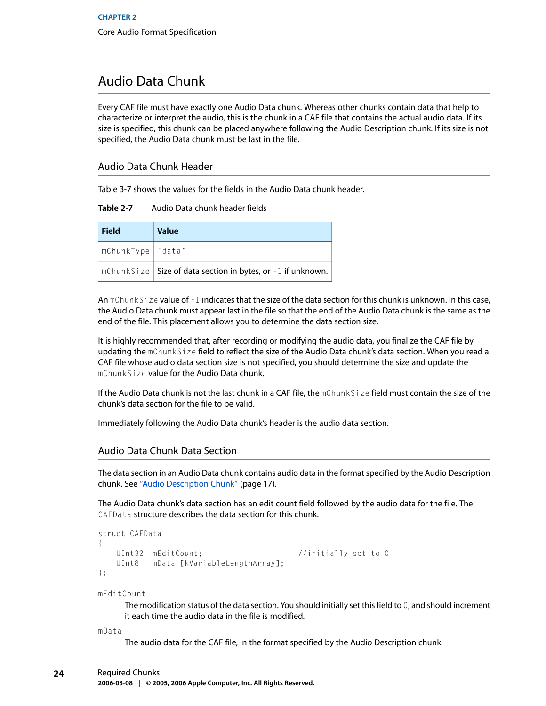## <span id="page-23-0"></span>Audio Data Chunk

Every CAF file must have exactly one Audio Data chunk. Whereas other chunks contain data that help to characterize or interpret the audio, this is the chunk in a CAF file that contains the actual audio data. If its size is specified, this chunk can be placed anywhere following the Audio Description chunk. If its size is not specified, the Audio Data chunk must be last in the file.

### Audio Data Chunk Header

<span id="page-23-1"></span>Table 3-7 shows the values for the fields in the Audio Data chunk header.

**Table 2-7** Audio Data chunk header fields

| <b>Field</b>         | <b>Value</b>                                                                                               |
|----------------------|------------------------------------------------------------------------------------------------------------|
| ImChunkType   'data' |                                                                                                            |
|                      | <code>nChunkSize</code> $ $ Size of data section in bytes, or <code>-1</code> if <code>unknown.</code> $ $ |

An mChunkSize value of -1 indicates that the size of the data section for this chunk is unknown. In this case, the Audio Data chunk must appear last in the file so that the end of the Audio Data chunk is the same as the end of the file. This placement allows you to determine the data section size.

It is highly recommended that, after recording or modifying the audio data, you finalize the CAF file by updating the mChunkSize field to reflect the size of the Audio Data chunk's data section. When you read a CAF file whose audio data section size is not specified, you should determine the size and update the mChunkSize value for the Audio Data chunk.

If the Audio Data chunk is not the last chunk in a CAF file, the mChunkSize field must contain the size of the chunk's data section for the file to be valid.

Immediately following the Audio Data chunk's header is the audio data section.

### Audio Data Chunk Data Section

The data section in an Audio Data chunk contains audio data in the format specified by the Audio Description chunk. See "Audio [Description](#page-16-0) Chunk" (page 17).

The Audio Data chunk's data section has an edit count field followed by the audio data for the file. The CAFData structure describes the data section for this chunk.

```
struct CAFData
{
   UInt32 mEditCount; //initially set to 0 UInt8 mData [kVariableLengthArray];
};
```
### mEditCount

The modification status of the data section. You should initially set this field to  $0$ , and should increment it each time the audio data in the file is modified.

mData

The audio data for the CAF file, in the format specified by the Audio Description chunk.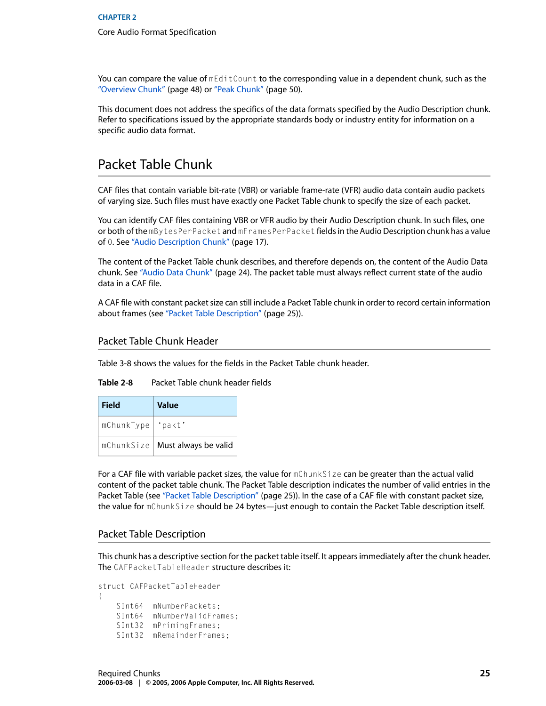You can compare the value of mEditCount to the corresponding value in a dependent chunk, such as the ["Overview](#page-47-1) Chunk" (page 48) or "Peak [Chunk"](#page-49-0) (page 50).

This document does not address the specifics of the data formats specified by the Audio Description chunk. Refer to specifications issued by the appropriate standards body or industry entity for information on a specific audio data format.

## <span id="page-24-0"></span>Packet Table Chunk

CAF files that contain variable bit-rate (VBR) or variable frame-rate (VFR) audio data contain audio packets of varying size. Such files must have exactly one Packet Table chunk to specify the size of each packet.

You can identify CAF files containing VBR or VFR audio by their Audio Description chunk. In such files, one or both of the mBytesPerPacket and mFramesPerPacket fields in the Audio Description chunk has a value of 0. See "Audio [Description](#page-16-0) Chunk" (page 17).

The content of the Packet Table chunk describes, and therefore depends on, the content of the Audio Data chunk. See "Audio Data [Chunk"](#page-23-0) (page 24). The packet table must always reflect current state of the audio data in a CAF file.

A CAF file with constant packet size can still include a Packet Table chunk in order to record certain information about frames (see "Packet Table [Description"](#page-24-2) (page 25)).

### <span id="page-24-1"></span>Packet Table Chunk Header

Table 3-8 shows the values for the fields in the Packet Table chunk header.

**Table 2-8** Packet Table chunk header fields

| Field               | Value                             |
|---------------------|-----------------------------------|
| mChunkType   'pakt' |                                   |
|                     | mChunkSize   Must always be valid |

<span id="page-24-2"></span>For a CAF file with variable packet sizes, the value for mChunkSize can be greater than the actual valid content of the packet table chunk. The Packet Table description indicates the number of valid entries in the Packet Table (see "Packet Table [Description"](#page-24-2) (page 25)). In the case of a CAF file with constant packet size, the value for mChunkSize should be 24 bytes—just enough to contain the Packet Table description itself.

### Packet Table Description

This chunk has a descriptive section for the packet table itself. It appearsimmediately after the chunk header. The CAFPacketTableHeader structure describes it:

```
struct CAFPacketTableHeader
{
    SInt64 mNumberPackets;
   SInt64 mNumberValidFrames;
     SInt32 mPrimingFrames;
     SInt32 mRemainderFrames;
```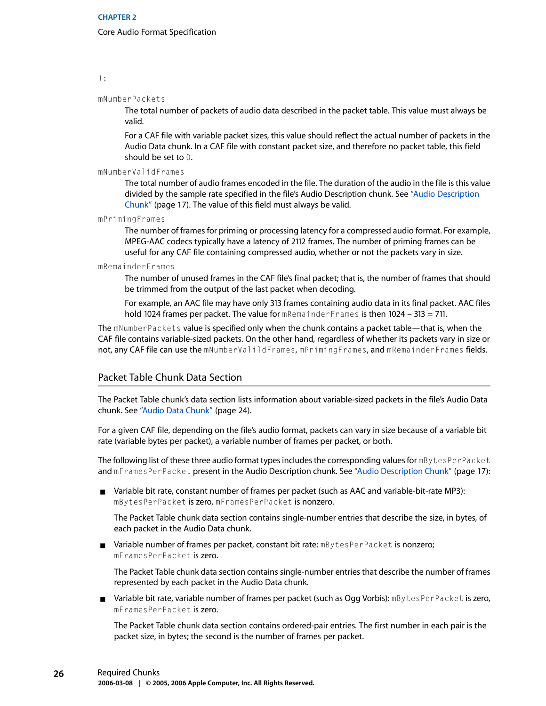#### Core Audio Format Specification

#### };

#### mNumberPackets

The total number of packets of audio data described in the packet table. This value must always be valid.

For a CAF file with variable packet sizes, this value should reflect the actual number of packets in the Audio Data chunk. In a CAF file with constant packet size, and therefore no packet table, this field should be set to 0.

#### mNumberValidFrames

The total number of audio frames encoded in the file. The duration of the audio in the file is this value divided by the sample rate specified in the file's Audio Description chunk. See "Audio [Description](#page-16-0) [Chunk"](#page-16-0) (page 17). The value of this field must always be valid.

mPrimingFrames

The number of frames for priming or processing latency for a compressed audio format. For example, MPEG-AAC codecs typically have a latency of 2112 frames. The number of priming frames can be useful for any CAF file containing compressed audio, whether or not the packets vary in size.

#### mRemainderFrames

The number of unused frames in the CAF file's final packet; that is, the number of frames that should be trimmed from the output of the last packet when decoding.

For example, an AAC file may have only 313 frames containing audio data in its final packet. AAC files hold 1024 frames per packet. The value for mRemainderFrames is then 1024 – 313 = 711.

<span id="page-25-0"></span>The mNumberPackets value is specified only when the chunk contains a packet table—that is, when the CAF file contains variable-sized packets. On the other hand, regardless of whether its packets vary in size or not, any CAF file can use the mNumberValildFrames, mPrimingFrames, and mRemainderFrames fields.

### Packet Table Chunk Data Section

The Packet Table chunk's data section lists information about variable-sized packets in the file's Audio Data chunk. See "Audio Data [Chunk"](#page-23-0) (page 24).

For a given CAF file, depending on the file's audio format, packets can vary in size because of a variable bit rate (variable bytes per packet), a variable number of frames per packet, or both.

The following list of these three audio format types includes the corresponding values for mBytesPerPacket and mFramesPerPacket present in the Audio [Description](#page-16-0) chunk. See "Audio Description Chunk" (page 17):

■ Variable bit rate, constant number of frames per packet (such as AAC and variable-bit-rate MP3): mBytesPerPacket is zero, mFramesPerPacket is nonzero.

The Packet Table chunk data section contains single-number entries that describe the size, in bytes, of each packet in the Audio Data chunk.

■ Variable number of frames per packet, constant bit rate: mBytesPerPacket is nonzero; mFramesPerPacket is zero.

The Packet Table chunk data section contains single-number entries that describe the number of frames represented by each packet in the Audio Data chunk.

■ Variable bit rate, variable number of frames per packet (such as Ogg Vorbis): mBytesPerPacket is zero, mFramesPerPacket is zero.

The Packet Table chunk data section contains ordered-pair entries. The first number in each pair is the packet size, in bytes; the second is the number of frames per packet.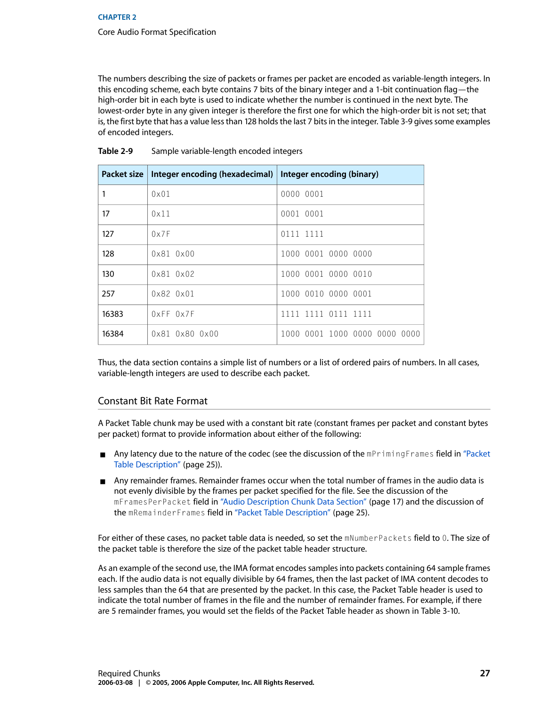The numbers describing the size of packets or frames per packet are encoded as variable-length integers. In this encoding scheme, each byte contains 7 bits of the binary integer and a 1-bit continuation flag—the high-order bit in each byte is used to indicate whether the number is continued in the next byte. The lowest-order byte in any given integer is therefore the first one for which the high-order bit is not set; that is, the first byte that has a value less than 128 holds the last 7 bits in the integer. Table 3-9 gives some examples of encoded integers.

| <b>Packet size</b> | Integer encoding (hexadecimal)   Integer encoding (binary) |                               |
|--------------------|------------------------------------------------------------|-------------------------------|
| 1                  | $0 \times 01$                                              | 0000 0001                     |
| 17                 | 0x11                                                       | 0001 0001                     |
| 127                | 0x7F                                                       | 0111 1111                     |
| 128                | $0 \times 81$ $0 \times 00$                                | 1000 0001 0000 0000           |
| 130                | $0x81$ $0x02$                                              | 1000 0001 0000 0010           |
| 257                | 0x820x01                                                   | 1000 0010 0000 0001           |
| 16383              | $0xFF$ $0x7F$                                              | 1111 1111 0111 1111           |
| 16384              | $0 \times 81$ $0 \times 80$ $0 \times 00$                  | 1000 0001 1000 0000 0000 0000 |

<span id="page-26-0"></span>

| Table 2-9 | Sample variable-length encoded integers |  |
|-----------|-----------------------------------------|--|
|-----------|-----------------------------------------|--|

Thus, the data section contains a simple list of numbers or a list of ordered pairs of numbers. In all cases, variable-length integers are used to describe each packet.

### Constant Bit Rate Format

A Packet Table chunk may be used with a constant bit rate (constant frames per packet and constant bytes per packet) format to provide information about either of the following:

- Any latency due to the nature of the codec (see the discussion of the mPrimingFrames field in ["Packet](#page-24-2) Table [Description"](#page-24-2) (page 25)).
- Any remainder frames. Remainder frames occur when the total number of frames in the audio data is not evenly divisible by the frames per packet specified for the file. See the discussion of the mFramesPerPacket field in "Audio [Description](#page-16-2) Chunk Data Section" (page 17) and the discussion of the mRemainderFrames field in "Packet Table [Description"](#page-24-2) (page 25).

For either of these cases, no packet table data is needed, so set the mNumberPackets field to 0. The size of the packet table is therefore the size of the packet table header structure.

As an example of the second use, the IMA format encodes samples into packets containing 64 sample frames each. If the audio data is not equally divisible by 64 frames, then the last packet of IMA content decodes to less samples than the 64 that are presented by the packet. In this case, the Packet Table header is used to indicate the total number of frames in the file and the number of remainder frames. For example, if there are 5 remainder frames, you would set the fields of the Packet Table header as shown in Table 3-10.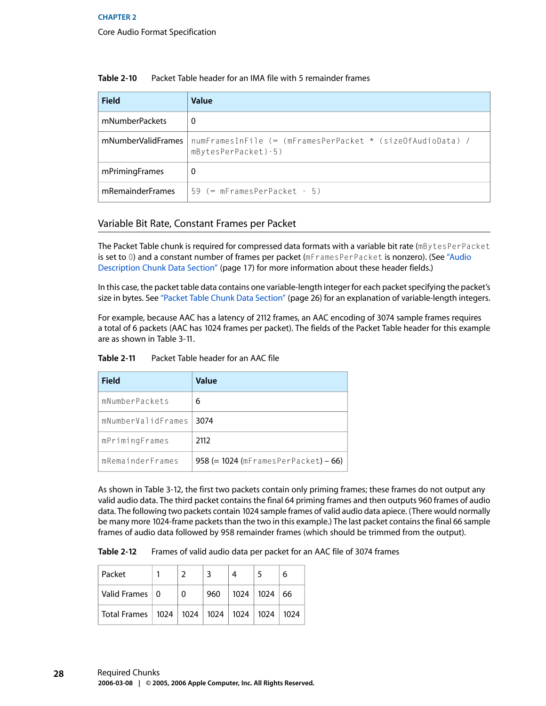| <b>Field</b>     | <b>Value</b>                                                                                                     |
|------------------|------------------------------------------------------------------------------------------------------------------|
| mNumberPackets   | 0                                                                                                                |
|                  | $m$ NumberValidFrames   numFramesInFile (= (mFramesPerPacket $*$ (sizeOfAudioData) /<br>$mBytesPerPacket) - 5$ ) |
| mPrimingFrames   | 0                                                                                                                |
| mRemainderFrames | $59 (= m$ FramesPerPacket - 5)                                                                                   |

### <span id="page-27-0"></span>**Table 2-10** Packet Table header for an IMA file with 5 remainder frames

### Variable Bit Rate, Constant Frames per Packet

The Packet Table chunk is required for compressed data formats with a variable bit rate (mBytesPerPacket is set to 0) and a constant number of frames per packet (mFramesPerPacket is nonzero). (See ["Audio](#page-16-2) [Description](#page-16-2) Chunk Data Section" (page 17) for more information about these header fields.)

In this case, the packet table data contains one variable-length integer for each packet specifying the packet's size in bytes. See "Packet Table Chunk Data [Section"](#page-25-0) (page 26) for an explanation of variable-length integers.

<span id="page-27-1"></span>For example, because AAC has a latency of 2112 frames, an AAC encoding of 3074 sample frames requires a total of 6 packets (AAC has 1024 frames per packet). The fields of the Packet Table header for this example are as shown in Table 3-11.

| <b>Field</b>       | <b>Value</b>                           |
|--------------------|----------------------------------------|
| mNumberPackets     | 6                                      |
| mNumberValidFrames | 3074                                   |
| mPrimingFrames     | 2112                                   |
| mRemainderFrames   | $958 (= 1024$ (mFramesPerPacket) - 66) |

#### **Table 2-11** Packet Table header for an AAC file

<span id="page-27-2"></span>As shown in Table 3-12, the first two packets contain only priming frames; these frames do not output any valid audio data. The third packet contains the final 64 priming frames and then outputs 960 frames of audio data. The following two packets contain 1024 sample frames of valid audio data apiece. (There would normally be many more 1024-frame packets than the two in this example.) The last packet contains the final 66 sample frames of audio data followed by 958 remainder frames (which should be trimmed from the output).

**Table 2-12** Frames of valid audio data per packet for an AAC file of 3074 frames

| Packet                                                 |   |     |                    |  |
|--------------------------------------------------------|---|-----|--------------------|--|
| Valid Frames   0                                       | 0 | 960 | $1024$   1024   66 |  |
| Total Frames   1024   1024   1024   1024   1024   1024 |   |     |                    |  |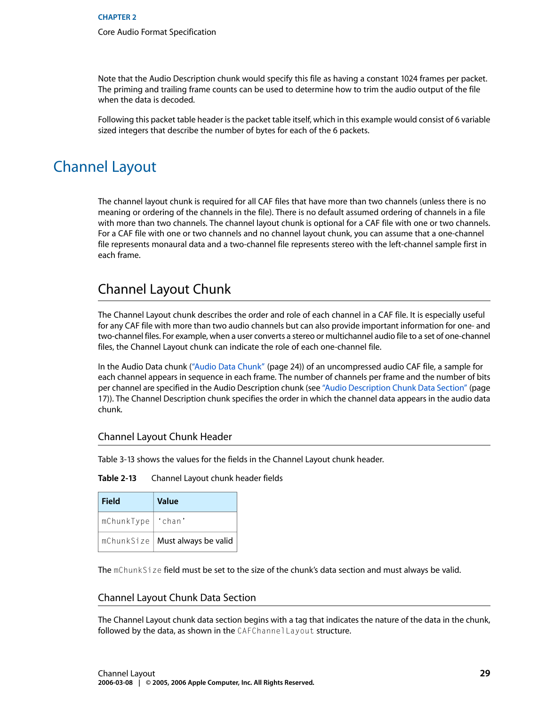Note that the Audio Description chunk would specify this file as having a constant 1024 frames per packet. The priming and trailing frame counts can be used to determine how to trim the audio output of the file when the data is decoded.

Following this packet table header is the packet table itself, which in this example would consist of 6 variable sized integers that describe the number of bytes for each of the 6 packets.

## <span id="page-28-0"></span>Channel Layout

The channel layout chunk is required for all CAF files that have more than two channels (unless there is no meaning or ordering of the channels in the file). There is no default assumed ordering of channels in a file with more than two channels. The channel layout chunk is optional for a CAF file with one or two channels. For a CAF file with one or two channels and no channel layout chunk, you can assume that a one-channel file represents monaural data and a two-channel file represents stereo with the left-channel sample first in each frame.

## <span id="page-28-1"></span>Channel Layout Chunk

The Channel Layout chunk describes the order and role of each channel in a CAF file. It is especially useful for any CAF file with more than two audio channels but can also provide important information for one- and two-channel files. For example, when a user converts a stereo or multichannel audio file to a set of one-channel files, the Channel Layout chunk can indicate the role of each one-channel file.

In the Audio Data chunk ("Audio Data [Chunk"](#page-23-0) (page 24)) of an uncompressed audio CAF file, a sample for each channel appears in sequence in each frame. The number of channels per frame and the number of bits per channel are specified in the Audio Description chunk (see "Audio [Description](#page-16-2) Chunk Data Section" (page 17)). The Channel Description chunk specifies the order in which the channel data appears in the audio data chunk.

### <span id="page-28-2"></span>Channel Layout Chunk Header

Table 3-13 shows the values for the fields in the Channel Layout chunk header.

| Field               | Value                             |
|---------------------|-----------------------------------|
| mChunkType   'chan' |                                   |
|                     | mChunkSize   Must always be valid |

**Table 2-13** Channel Layout chunk header fields

The mChunkSize field must be set to the size of the chunk's data section and must always be valid.

### Channel Layout Chunk Data Section

The Channel Layout chunk data section begins with a tag that indicates the nature of the data in the chunk, followed by the data, as shown in the CAFChannel Layout structure.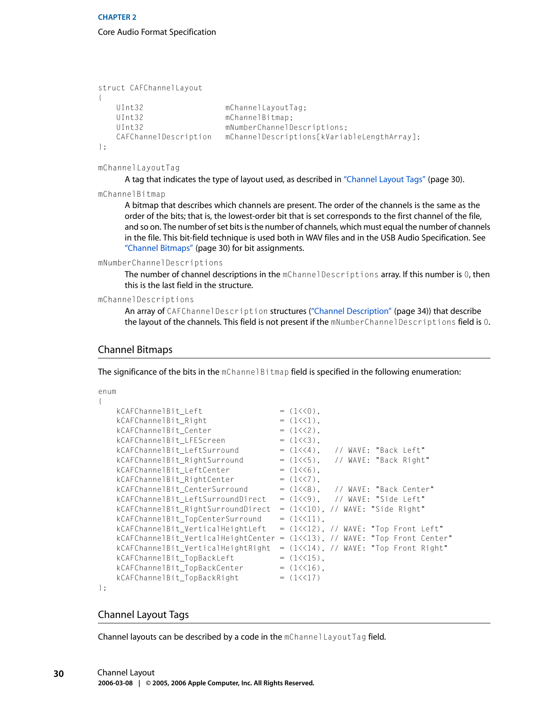### **CHAPTER 2** Core Audio Format Specification

```
struct CAFChannelLayout
{
  UInt32 mChannelLayoutTag;
  UInt32 mChannelBitmap;
  UInt32 mNumberChannelDescriptions;
    CAFChannelDescription mChannelDescriptions[kVariableLengthArray];
};
```
#### mChannelLayoutTag

A tag that indicates the type of layout used, as described in ["Channel](#page-29-0) Layout Tags" (page 30).

mChannelBitmap

A bitmap that describes which channels are present. The order of the channels is the same as the order of the bits; that is, the lowest-order bit that is set corresponds to the first channel of the file, and so on. The number of set bits is the number of channels, which must equal the number of channels in the file. This bit-field technique is used both in WAV files and in the USB Audio Specification. See ["Channel](#page-29-1) Bitmaps" (page 30) for bit assignments.

mNumberChannelDescriptions

The number of channel descriptions in the mChannelDescriptions array. If this number is 0, then this is the last field in the structure.

<span id="page-29-1"></span>mChannelDescriptions

An array of CAFChannelDescription structures ("Channel [Description"](#page-33-0) (page 34)) that describe the layout of the channels. This field is not present if the mNumberChannelDescriptions field is 0.

#### Channel Bitmaps

The significance of the bits in the mChannelBitmap field is specified in the following enumeration:

```
enum
{
```

| kCAFChannelBit Left                                                                        | $= (1 \langle 0 \rangle)$ ,                                     |  |  |  |
|--------------------------------------------------------------------------------------------|-----------------------------------------------------------------|--|--|--|
| kCAFChannelBit Right                                                                       | $= (1 \leq \leq 1)$ ,                                           |  |  |  |
| kCAFChannelBit Center                                                                      | $= (1 \langle \langle 2 \rangle)$ .                             |  |  |  |
| kCAFChannelBit LFEScreen                                                                   | $= (1 \langle \langle 3 \rangle)$ .                             |  |  |  |
| kCAFChannelBit LeftSurround                                                                | $= (1 \le 4)$ , // WAVE: "Back Left"                            |  |  |  |
| kCAFChannelBit RightSurround                                                               | $= (1 \le 5)$ , // WAVE: "Back Right"                           |  |  |  |
| kCAFChannelBit LeftCenter                                                                  | $= (1 \langle \langle 6 \rangle,$                               |  |  |  |
| kCAFChannelBit RightCenter                                                                 | $= (1 \langle \langle 7 \rangle)$ ,                             |  |  |  |
| kCAFChannelBit CenterSurround                                                              | $= (1 \langle \langle 8 \rangle, \angle) /$ WAVE: "Back Center" |  |  |  |
| kCAFChannelBit LeftSurroundDirect                                                          | $= (1 \le 9)$ , // WAVE: "Side Left"                            |  |  |  |
| kCAFChannelBit_RightSurroundDirect                                                         | = $(1 \le 10)$ , // WAVE: "Side Right"                          |  |  |  |
| kCAFChannelBit_TopCenterSurround                                                           | $= (1 \le 11)$ .                                                |  |  |  |
| kCAFChannelBit VerticalHeightLeft                                                          | $= (1 \times 12)$ , // WAVE: "Top Front Left"                   |  |  |  |
| kCAFChannelBit VerticalHeightCenter = $(1\langle 13 \rangle, 77)$ WAVE: "Top Front Center" |                                                                 |  |  |  |
| kCAFChannelBit_VerticalHeightRight                                                         | $= (1 \times 14)$ , // WAVE: "Top Front Right"                  |  |  |  |
| kCAFChannelBit_TopBackLeft                                                                 | $= (1 \langle \langle 15 \rangle)$ .                            |  |  |  |
| kCAFChannelBit_TopBackCenter                                                               | $= (1 \langle \langle 16 \rangle)$ .                            |  |  |  |
| kCAFChannelBit_TopBackRight                                                                | $= (1 \times 17)$                                               |  |  |  |
|                                                                                            |                                                                 |  |  |  |

#### <span id="page-29-0"></span>Channel Layout Tags

Channel layouts can be described by a code in the mChannel Layout Tag field.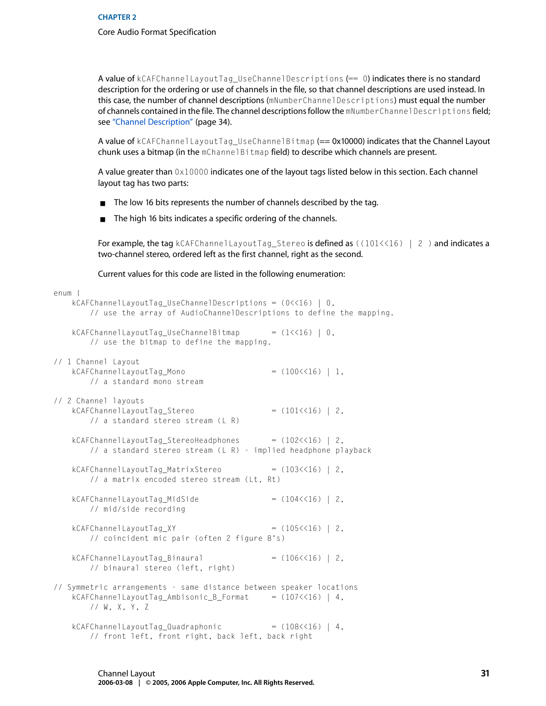A value of kCAFChannelLayoutTag\_UseChannelDescriptions (== 0) indicates there is no standard description for the ordering or use of channels in the file, so that channel descriptions are used instead. In this case, the number of channel descriptions (mNumberChannelDescriptions) must equal the number of channels contained in the file. The channel descriptions follow the mNumberChannel Descriptions field; see "Channel [Description"](#page-33-0) (page 34).

A value of kCAFChannelLayoutTag\_UseChannelBitmap (== 0x10000) indicates that the Channel Layout chunk uses a bitmap (in the mChannelBitmap field) to describe which channels are present.

A value greater than 0x10000 indicates one of the layout tags listed below in this section. Each channel layout tag has two parts:

- The low 16 bits represents the number of channels described by the tag.
- The high 16 bits indicates a specific ordering of the channels.

For example, the tag kCAFChannelLayoutTag\_Stereo is defined as ((101<<16) | 2 ) and indicates a two-channel stereo, ordered left as the first channel, right as the second.

Current values for this code are listed in the following enumeration:

```
enum {
   kCAFChannelLayoutTag UseChannelDescriptions = (0\le 16) | 0,
        // use the array of AudioChannelDescriptions to define the mapping.
   kCAFChannelLayoutTag UseChannelBitmap = (1\langle 16 \rangle | 0, // use the bitmap to define the mapping.
// 1 Channel Layout
   kCAFChamnelLayoutTag_Mono = (100 < 16) | 1,
        // a standard mono stream
// 2 Channel layouts
   kCAFC channelLayoutTag_Stereo = (101<<16) | 2,
        // a standard stereo stream (L R)
   kCAFChamnelLayoutTag_StereoHeadphones = (102 < 16) | 2,
        // a standard stereo stream (L R) - implied headphone playback
   kCAFChamnelLayoutTag_MatrixStorece = (103 < 16) | 2,
        // a matrix encoded stereo stream (Lt, Rt)
   kCAFChamnelLayoutTag_Midside = (104<<16) | 2,
        // mid/side recording
   kCAFChamnelLayoutTag_XY = (105 \leq 16) | 2, // coincident mic pair (often 2 figure 8's)
   kCAFChamnelLayoutTag_Binaural = (106 < 16) | 2,
        // binaural stereo (left, right)
// Symmetric arrangements - same distance between speaker locations
   kCAFC channelLayoutTag_Ambisonic_B_Format = (107\le 16) | 4,
        // W, X, Y, Z
   kCAFC channelLayoutTag_Quadraphonic = (108\le 16) | 4,
        // front left, front right, back left, back right
```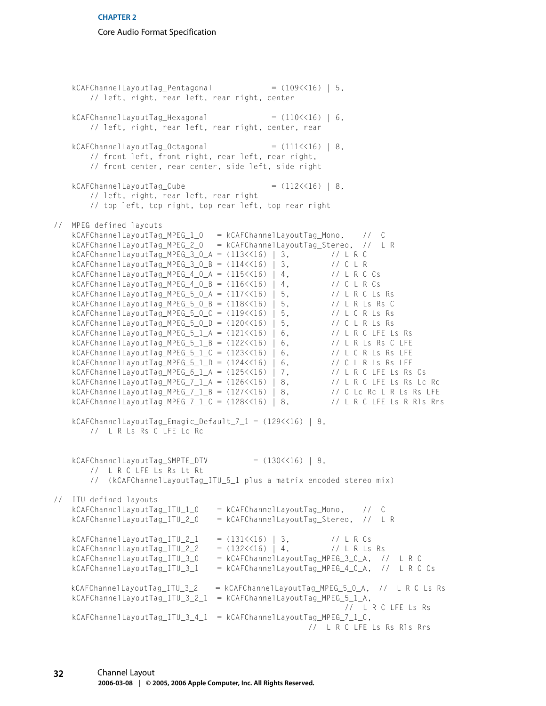#### Core Audio Format Specification

 $kCAFC channel$ LayoutTag\_Pentagonal =  $(109\le16)$  5, // left, right, rear left, rear right, center  $kCAFC channel$ LayoutTag\_Hexagonal =  $(110\le 16)$  6, // left, right, rear left, rear right, center, rear  $kCAFC channel$ LayoutTag\_Octagonal =  $(111 \leq 16)$  8, // front left, front right, rear left, rear right, // front center, rear center, side left, side right  $kCAFChannelLayoutTag Cube$  = (112 < 16) | 8, // left, right, rear left, rear right // top left, top right, top rear left, top rear right // MPEG defined layouts kCAFChannelLayoutTag\_MPEG\_1\_0 = kCAFChannelLayoutTag\_Mono, // C kCAFChannelLayoutTag\_MPEG\_2\_0 = kCAFChannelLayoutTag\_Stereo, // L R kCAFChannelLayoutTag\_MPEG\_3\_0\_A =  $(113\langle\langle 16 \rangle | 3, \angle)$  // L R C kCAFChannelLayoutTag\_MPEG\_3\_0\_B =  $(114\le16)$  | 3,  $\angle$  // C L R<br>kCAFChannelLayoutTag MPEG 4 0 A =  $(115\le16)$  | 4,  $\angle$  // L R C Cs  $kCAFChamnelLayoutTag_MPEG_4_0_A = (115 \times 16) | 4,$ kCAFChannelLayoutTag\_MPEG\_4\_0\_B =  $(116 \times 16)$  | 4, // C L R Cs kCAFChannelLayoutTag\_MPEG\_5\_0\_A =  $(117 \le 16)$  | 5,  $\frac{1}{16}$  | R C Ls Rs kCAFChannelLayoutTag\_MPEG\_5\_0\_B =  $(118\langle\langle 16 \rangle | 5, \angle 7/2)$  | R Ls Rs C kCAFChannelLayoutTag\_MPEG\_5\_0\_C =  $(119\langle\langle16\rangle|)$  5, // L C R Ls Rs kCAFChannelLayoutTag\_MPEG\_5\_0\_D = (120<<16) | 5,  $\angle$  // C L R Ls Rs<br>kCAFChannelLayoutTag\_MPEG\_5\_1\_A = (121<<16) | 6,  $\angle$  // L R C LFE Ls Rs  $kCAFChannelLayoutTag_MPEG_5_1_A = (121 \leq 16)$  | 6, kCAFChannelLayoutTag\_MPEG\_5\_1\_B =  $(122 \times 16)$  | 6,  $\qquad$  // L R Ls Rs C LFE kCAFChannelLayoutTag\_MPEG\_5\_1\_C =  $(123\langle\langle 16 \rangle \mid 6, \cdot \rangle) / / C$  L C R Ls Rs LFE<br>kCAFChannelLayoutTag\_MPEG\_5\_1\_D =  $(124\langle\langle 16 \rangle \mid 6, \cdot \rangle) / C$  L R Ls Rs LFE  $kCAFChannelLayoutTag_MPEG_5_1_D = (124 \times 16)$  | 6, kCAFChannelLayoutTag\_MPEG\_6\_1\_A =  $(125\langle\langle 16 \rangle \mid 7, \cdot \cdot \cdot \cdot )/$  L R C LFE Ls Rs Cs kCAFChannelLayoutTag\_MPEG\_7\_1\_A =  $(126\le 16)$  | 8,  $\frac{1}{16}$  // L R C LFE Ls Rs Lc Rc kCAFChannelLayoutTag\_MPEG\_7\_1\_B =  $(127 < 16)$  | 8, // C Lc Rc L R Ls Rs LFE kCAFChannelLayoutTag\_MPEG\_7\_1\_C =  $(128\langle\langle 16 \rangle )$  | 8,  $\angle$  // L R C LFE Ls R Rls Rrs kCAFChannelLayoutTag\_Emagic\_Default\_7\_1 =  $(129\le16)$  | 8, // L R Ls Rs C LFE Lc Rc  $kCAFChamnelLayoutTag_SMPTE_DTV$  = (130 < 16) | 8, // L R C LFE Ls Rs Lt Rt // (kCAFChannelLayoutTag\_ITU\_5\_1 plus a matrix encoded stereo mix) // ITU defined layouts kCAFChannelLayoutTag\_ITU\_1\_0 = kCAFChannelLayoutTag\_Mono, // C kCAFChannelLayoutTag\_ITU\_2\_0 = kCAFChannelLayoutTag\_Stereo, // L R kCAFChannelLayoutTag\_ITU\_2\_1 =  $(131\langle\langle 16 \rangle + 3, \sqrt{2} / 2)$  // L R Cs kCAFChannelLayoutTag\_ITU\_2\_2 =  $(132 \times 16)$  | 4, // L R Ls Rs kCAFChannelLayoutTag\_ITU\_3\_0 = kCAFChannelLayoutTag\_MPEG\_3\_0\_A, // L R C  $kCAFChannelLayoutTag_IV_3_1 = kCAFChannelLayoutTag_MPEG_4_0_A, // LR C Cs$  kCAFChannelLayoutTag\_ITU\_3\_2 = kCAFChannelLayoutTag\_MPEG\_5\_0\_A, // L R C Ls Rs kCAFChannelLayoutTag\_ITU\_3\_2\_1 = kCAFChannelLayoutTag\_MPEG\_5\_1\_A, // L R C LFE Ls Rs kCAFChannelLayoutTag\_ITU\_3\_4\_1 = kCAFChannelLayoutTag\_MPEG\_7\_1\_C, // L R C LFE Ls Rs Rls Rrs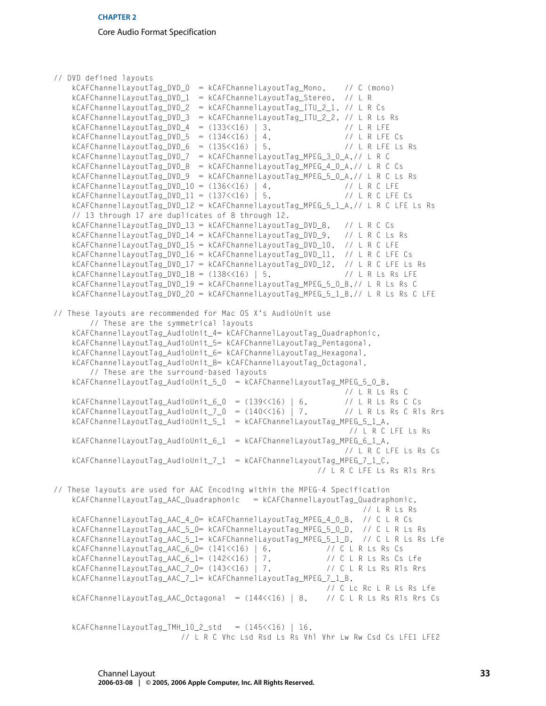#### Core Audio Format Specification

```
// DVD defined layouts
     kCAFChannelLayoutTag_DVD_0 = kCAFChannelLayoutTag_Mono, // C (mono)
     kCAFChannelLayoutTag_DVD_1 = kCAFChannelLayoutTag_Stereo, // L R
     kCAFChannelLayoutTag_DVD_2 = kCAFChannelLayoutTag_ITU_2_1, // L R Cs
     kCAFChannelLayoutTag_DVD_3 = kCAFChannelLayoutTag_ITU_2_2, // L R Ls Rs
    kCAFChannelLayoutTag_DVD_4 = (133\langle\langle 16 \rangle | 3, / \angle) // L R LFE
    kCAFChannelLayoutTag_DVD_5 = (134\langle\langle16\rangle)^2 | 4, \langle // L R LFE Cs
    kCAFChannelLayoutTag_DVD_6 = (135\langle\langle 16 \rangle ) | 5, \angle // L R LFE Ls Rs
    kCAFChannelLayoutTag_DVD_7 = kCAFChannelLayoutTag_MPEG_3_0_A, // L R C kCAFChannelLayoutTag_DVD_8 = kCAFChannelLayoutTag_MPEG_4_0_A,// L R C Cs
     kCAFChannelLayoutTag_DVD_9 = kCAFChannelLayoutTag_MPEG_5_0_A,// L R C Ls Rs
    kCAFChannelLayoutTag DVD 10 = (136 \times 16) | 4, // L R C LFE
    kCAFChannelLayoutTag_DVD_11 = (137 < 16) | 5, // L R C LFE Cs
     kCAFChannelLayoutTag_DVD_12 = kCAFChannelLayoutTag_MPEG_5_1_A,// L R C LFE Ls Rs
     // 13 through 17 are duplicates of 8 through 12.
     kCAFChannelLayoutTag_DVD_13 = kCAFChannelLayoutTag_DVD_8, // L R C Cs
     kCAFChannelLayoutTag_DVD_14 = kCAFChannelLayoutTag_DVD_9, // L R C Ls Rs
     kCAFChannelLayoutTag_DVD_15 = kCAFChannelLayoutTag_DVD_10, // L R C LFE
     kCAFChannelLayoutTag_DVD_16 = kCAFChannelLayoutTag_DVD_11, // L R C LFE Cs
     kCAFChannelLayoutTag_DVD_17 = kCAFChannelLayoutTag_DVD_12, // L R C LFE Ls Rs
    kCAFChannelLayoutTag_DVD_18 = (138\langle\langle16\rangle) | 5, \angle // L R Ls Rs LFE
     kCAFChannelLayoutTag_DVD_19 = kCAFChannelLayoutTag_MPEG_5_0_B,// L R Ls Rs C
     kCAFChannelLayoutTag_DVD_20 = kCAFChannelLayoutTag_MPEG_5_1_B,// L R Ls Rs C LFE
// These layouts are recommended for Mac OS X's AudioUnit use
         // These are the symmetrical layouts
     kCAFChannelLayoutTag_AudioUnit_4= kCAFChannelLayoutTag_Quadraphonic,
     kCAFChannelLayoutTag_AudioUnit_5= kCAFChannelLayoutTag_Pentagonal,
     kCAFChannelLayoutTag_AudioUnit_6= kCAFChannelLayoutTag_Hexagonal,
     kCAFChannelLayoutTag_AudioUnit_8= kCAFChannelLayoutTag_Octagonal,
         // These are the surround-based layouts
     kCAFChannelLayoutTag_AudioUnit_5_0 = kCAFChannelLayoutTag_MPEG_5_0_B,
                                                                  // L R Ls Rs C
    kCAFChannelLayoutTag_AudioUnit_6_0 = (139\le16) | 6, // L R Ls Rs C Cs
    kCAFChannelLayoutTag_AudioUnit_7_0 = (140\le16) | 7, // L R Ls Rs C Rls Rrs
    kCAFChannelLayoutTag AudioUnit 5\,1 = kCAFChannelLayoutTag MPEG 5\,1\,A,
                                                                    // L R C LFE Ls Rs
     kCAFChannelLayoutTag_AudioUnit_6_1 = kCAFChannelLayoutTag_MPEG_6_1_A,
                                                                  // L R C LFE Ls Rs Cs
     kCAFChannelLayoutTag_AudioUnit_7_1 = kCAFChannelLayoutTag_MPEG_7_1_C,
                                                            // L R C LFE Ls Rs Rls Rrs
// These layouts are used for AAC Encoding within the MPEG-4 Specification
     kCAFChannelLayoutTag_AAC_Quadraphonic = kCAFChannelLayoutTag_Quadraphonic,
                                                                       // L R Ls Rs
     kCAFChannelLayoutTag_AAC_4_0= kCAFChannelLayoutTag_MPEG_4_0_B, // C L R Cs
     kCAFChannelLayoutTag_AAC_5_0= kCAFChannelLayoutTag_MPEG_5_0_D, // C L R Ls Rs
     kCAFChannelLayoutTag_AAC_5_1= kCAFChannelLayoutTag_MPEG_5_1_D, // C L R Ls Rs Lfe
    kCAFChannelLayoutTag_AAC_6_0= (141<<16) | 6, // C L R Ls Rs Cs
    kCAFChannelLayoutTag_AAC_6_1= (142<<16) | 7, \angle // C L R Ls Rs Cs Lfe <br>kCAFChannelLayoutTag_AAC_7_0= (143<<16) | 7, \angle // C L R Ls Rs Rls Rrs
    kCAFChannelLayoutTag_AAC_7_0= (143\le16) | 7,
     kCAFChannelLayoutTag_AAC_7_1= kCAFChannelLayoutTag_MPEG_7_1_B,
                                                              // C Lc Rc L R Ls Rs Lfe
    kCAFChannelLayoutTag AAC Octagonal = (144<16) | 8, // C L R Ls Rs Rls Rrs Cs
    kCAFChannelLayoutTag_TMH_10_2\_std = (145<<16) | 16, // L R C Vhc Lsd Rsd Ls Rs Vhl Vhr Lw Rw Csd Cs LFE1 LFE2
```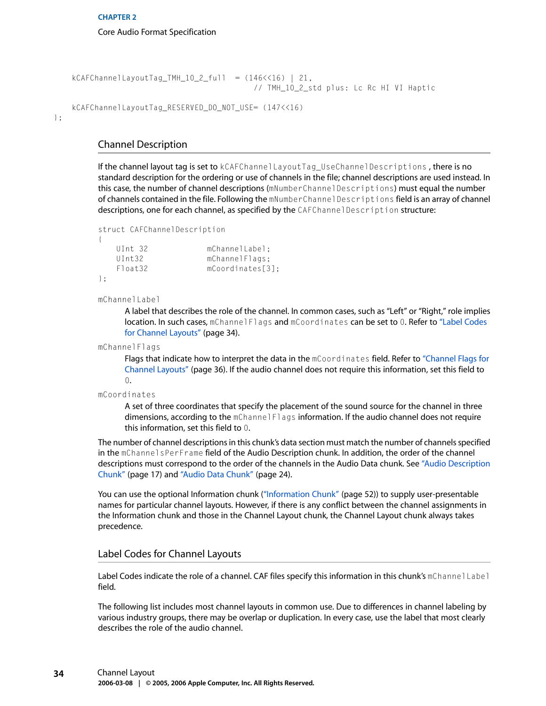#### **CHAPTER 2**

#### Core Audio Format Specification

```
kCAFChamnelLayoutTag_TMH_10_2_full = (146 \times 16) | 21, // TMH_10_2_std plus: Lc Rc HI VI Haptic
```

```
 kCAFChannelLayoutTag_RESERVED_DO_NOT_USE= (147<<16)
```
#### };

### <span id="page-33-0"></span>Channel Description

If the channel layout tag is set to kCAFChannel LayoutTag\_UseChannel Descriptions, there is no standard description for the ordering or use of channels in the file; channel descriptions are used instead. In this case, the number of channel descriptions (mNumberChannelDescriptions) must equal the number of channels contained in the file. Following the mNumberChannelDescriptions field is an array of channel descriptions, one for each channel, as specified by the CAFChannelDescription structure:

```
struct CAFChannelDescription
{
  UInt 32 mChannelLabel;
  UInt32 mChannelFlags;
  Float32 mCoordinates[3]:
```
};

#### mChannelLabel

A label that describes the role of the channel. In common cases, such as "Left" or "Right," role implies location. In such cases, mChannelFlags and mCoordinates can be set to 0. Refer to ["Label](#page-33-1) Codes for Channel [Layouts"](#page-33-1) (page 34).

#### mChannelFlags

Flags that indicate how to interpret the data in the mCoordinates field. Refer to ["Channel](#page-35-0) Flags for Channel [Layouts"](#page-35-0) (page 36). If the audio channel does not require this information, set this field to 0.

mCoordinates

A set of three coordinates that specify the placement of the sound source for the channel in three dimensions, according to the mChannel Flags information. If the audio channel does not require this information, set this field to 0.

The number of channel descriptions in this chunk's data section must match the number of channels specified in the mChannelsPerFrame field of the Audio Description chunk. In addition, the order of the channel descriptions must correspond to the order of the channels in the Audio Data chunk. See "Audio [Description](#page-16-0) [Chunk"](#page-16-0) (page 17) and "Audio Data [Chunk"](#page-23-0) (page 24).

<span id="page-33-1"></span>You can use the optional Information chunk (["Information](#page-51-0) Chunk" (page 52)) to supply user-presentable names for particular channel layouts. However, if there is any conflict between the channel assignments in the Information chunk and those in the Channel Layout chunk, the Channel Layout chunk always takes precedence.

### Label Codes for Channel Layouts

Label Codes indicate the role of a channel. CAF files specify this information in this chunk's mChannel Label field.

The following list includes most channel layouts in common use. Due to differences in channel labeling by various industry groups, there may be overlap or duplication. In every case, use the label that most clearly describes the role of the audio channel.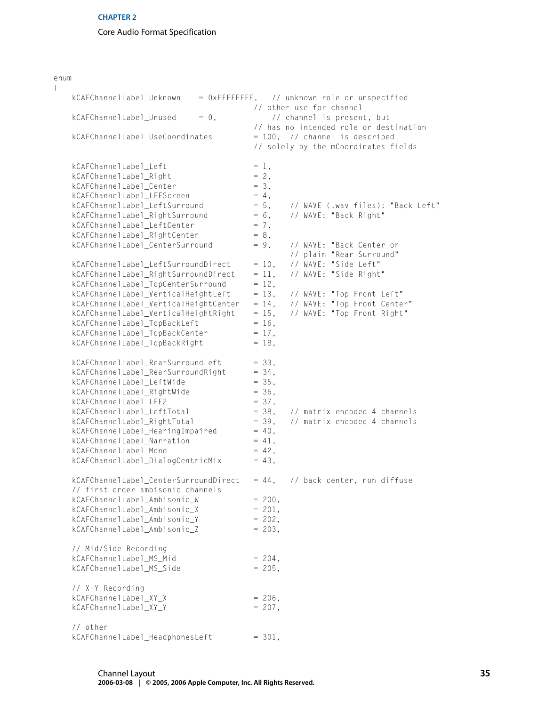### **CHAPTER 2**

### Core Audio Format Specification

| ×  | num |
|----|-----|
| ۰. |     |
|    |     |

| kCAFChannelLabel_Unknown              | = 0xFFFFFFFF, // unknown role or unspecified |  |
|---------------------------------------|----------------------------------------------|--|
|                                       | // other use for channel                     |  |
| $= 0,$<br>kCAFChannelLabel_Unused     | // channel is present, but                   |  |
|                                       | // has no intended role or destination       |  |
| kCAFChannelLabel_UseCoordinates       | $= 100$ , // channel is described            |  |
|                                       | // solely by the mCoordinates fields         |  |
|                                       |                                              |  |
| kCAFChannelLabel_Left                 | $= 1$ ,                                      |  |
| kCAFChannelLabel_Right                | $= 2,$                                       |  |
| kCAFChannelLabel_Center               | $= 3,$                                       |  |
| kCAFChannelLabel_LFEScreen            | $= 4,$                                       |  |
| kCAFChannelLabel_LeftSurround         | $= 5$ ,<br>// WAVE (.wav files): "Back Left" |  |
| kCAFChannelLabel_RightSurround        | $= 6,$<br>// WAVE: "Back Right"              |  |
| kCAFChannelLabel_LeftCenter           | $= 7,$                                       |  |
| kCAFChannelLabel_RightCenter          | $= 8,$                                       |  |
| kCAFChannelLabel_CenterSurround       | $= 9,$<br>// WAVE: "Back Center or           |  |
|                                       | // plain "Rear Surround"                     |  |
| kCAFChannelLabel_LeftSurroundDirect   | // WAVE: "Side Left"<br>$= 10$ ,             |  |
| kCAFChannelLabel_RightSurroundDirect  | // WAVE: "Side Right"<br>$= 11,$             |  |
| kCAFChannelLabel_TopCenterSurround    | $= 12$ ,                                     |  |
| kCAFChannelLabel_VerticalHeightLeft   | $= 13$ ,<br>// WAVE: "Top Front Left"        |  |
|                                       | // WAVE: "Top Front Center"<br>$= 14.$       |  |
| kCAFChannelLabel_VerticalHeightCenter |                                              |  |
| kCAFChannelLabel_VerticalHeightRight  | // WAVE: "Top Front Right"<br>$= 15$ ,       |  |
| kCAFChannelLabel_TopBackLeft          | $= 16$ .                                     |  |
| kCAFChannelLabel_TopBackCenter        | $= 17$ ,                                     |  |
| kCAFChannelLabel_TopBackRight         | $= 18$ ,                                     |  |
|                                       |                                              |  |
| kCAFChannelLabel_RearSurroundLeft     | $= 33$ ,                                     |  |
| kCAFChannelLabel_RearSurroundRight    | $= 34$ ,                                     |  |
| kCAFChannelLabel_LeftWide             | $= 35$ ,                                     |  |
| kCAFChannelLabel_RightWide            | $= 36$ ,                                     |  |
| kCAFChannelLabel_LFE2                 | $= 37,$                                      |  |
| kCAFChannelLabel_LeftTotal            | $= 38,$<br>// matrix encoded 4 channels      |  |
| kCAFChannelLabel_RightTotal           | $= 39,$<br>// matrix encoded 4 channels      |  |
| kCAFChannelLabel_HearingImpaired      | $= 40,$                                      |  |
| kCAFChannelLabel_Narration            | $= 41$ ,                                     |  |
| kCAFChannelLabel_Mono                 | $= 42$ ,                                     |  |
| kCAFChannelLabel_DialogCentricMix     | $= 43$ ,                                     |  |
|                                       |                                              |  |
| kCAFChannelLabel_CenterSurroundDirect | $= 44.$<br>// back center, non diffuse       |  |
| // first order ambisonic channels     |                                              |  |
| kCAFChannelLabel_Ambisonic_W          | $= 200,$                                     |  |
| kCAFChannelLabel_Ambisonic_X          | $= 201,$                                     |  |
|                                       |                                              |  |
| kCAFChannelLabel_Ambisonic_Y          | $= 202$ ,                                    |  |
| kCAFChannelLabel_Ambisonic_Z          | $= 203$ ,                                    |  |
|                                       |                                              |  |
| // Mid/Side Recording                 |                                              |  |
| kCAFChannelLabel_MS_Mid               | $= 204.$                                     |  |
| kCAFChannelLabel_MS_Side              | $= 205$ ,                                    |  |
|                                       |                                              |  |
| // X-Y Recording                      |                                              |  |
| kCAFChannelLabel_XY_X                 | $= 206.$                                     |  |
| kCAFChannelLabel_XY_Y                 | $= 207$ ,                                    |  |
|                                       |                                              |  |
| // other                              |                                              |  |
| kCAFChannelLabel_HeadphonesLeft       | $= 301,$                                     |  |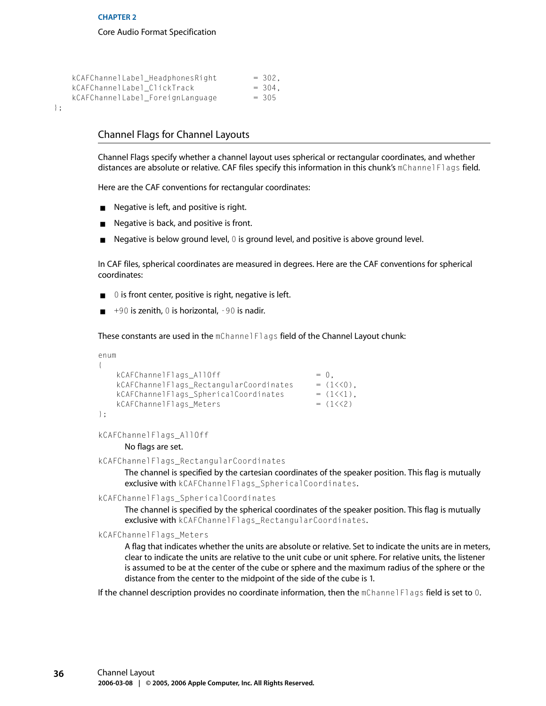#### Core Audio Format Specification

| kCAFChannelLabel_HeadphonesRight | $= 302.$ |
|----------------------------------|----------|
| kCAFChannelLabel ClickTrack      | $= 304.$ |
| kCAFChannelLabel ForeignLanguage | $= 305$  |

};

### <span id="page-35-0"></span>Channel Flags for Channel Layouts

Channel Flags specify whether a channel layout uses spherical or rectangular coordinates, and whether distances are absolute or relative. CAF files specify this information in this chunk's mChannelFlags field.

Here are the CAF conventions for rectangular coordinates:

- Negative is left, and positive is right.
- Negative is back, and positive is front.
- Negative is below ground level,  $0$  is ground level, and positive is above ground level.

In CAF files, spherical coordinates are measured in degrees. Here are the CAF conventions for spherical coordinates:

- 0 is front center, positive is right, negative is left.
- $+90$  is zenith, 0 is horizontal,  $-90$  is nadir.

These constants are used in the mChannel Flags field of the Channel Layout chunk:

```
enum
{
   kCAFChamnelFlags_A110ff = 0,
   kCAFChamnelFlags_RectangularCoordinates = <math>(1 \leq 0)</math>,kCAFChannelFlags_SphericalCoordinates = (1\leq 1),
   kCAFChamnelFlags_Meters = (1\lt\lt2)
};
```
kCAFChannelFlags\_AllOff

#### No flags are set.

kCAFChannelFlags\_RectangularCoordinates

The channel is specified by the cartesian coordinates of the speaker position. This flag is mutually exclusive with kCAFChannelFlags\_SphericalCoordinates.

#### kCAFChannelFlags\_SphericalCoordinates

The channel is specified by the spherical coordinates of the speaker position. This flag is mutually exclusive with kCAFChannelFlags\_RectangularCoordinates.

kCAFChannelFlags\_Meters

A flag that indicates whether the units are absolute or relative. Set to indicate the units are in meters, clear to indicate the units are relative to the unit cube or unit sphere. For relative units, the listener is assumed to be at the center of the cube or sphere and the maximum radius of the sphere or the distance from the center to the midpoint of the side of the cube is 1.

If the channel description provides no coordinate information, then the mChannel Flags field is set to 0.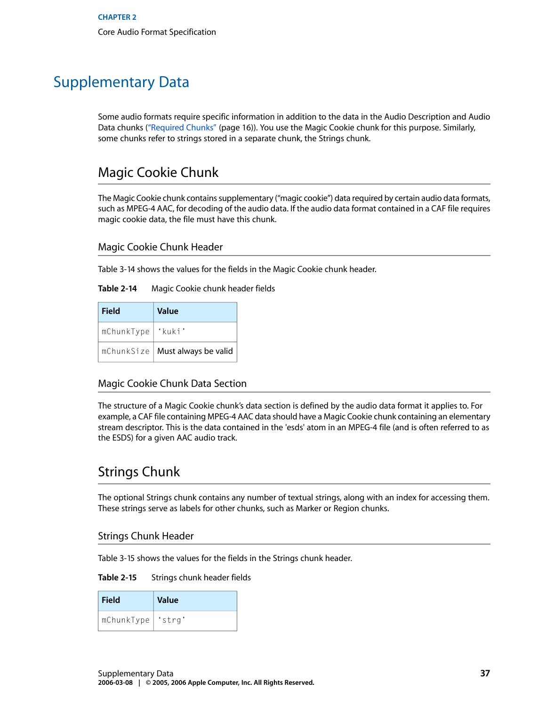## <span id="page-36-0"></span>Supplementary Data

Some audio formats require specific information in addition to the data in the Audio Description and Audio Data chunks (["Required](#page-15-1) Chunks" (page 16)). You use the Magic Cookie chunk for this purpose. Similarly, some chunks refer to strings stored in a separate chunk, the Strings chunk.

## <span id="page-36-1"></span>Magic Cookie Chunk

The Magic Cookie chunk contains supplementary ("magic cookie") data required by certain audio data formats, such as MPEG-4 AAC, for decoding of the audio data. If the audio data format contained in a CAF file requires magic cookie data, the file must have this chunk.

### Magic Cookie Chunk Header

<span id="page-36-3"></span>Table 3-14 shows the values for the fields in the Magic Cookie chunk header.

| Table 2-14 | Magic Cookie chunk header fields |
|------------|----------------------------------|
|------------|----------------------------------|

| Field      | Value                             |
|------------|-----------------------------------|
| mChunkType | 'kuki'                            |
|            | mChunkSize   Must always be valid |

### Magic Cookie Chunk Data Section

<span id="page-36-2"></span>The structure of a Magic Cookie chunk's data section is defined by the audio data format it applies to. For example, a CAF file containing MPEG-4 AAC data should have a Magic Cookie chunk containing an elementary stream descriptor. This is the data contained in the 'esds' atom in an MPEG-4 file (and is often referred to as the ESDS) for a given AAC audio track.

## Strings Chunk

The optional Strings chunk contains any number of textual strings, along with an index for accessing them. These strings serve as labels for other chunks, such as Marker or Region chunks.

### <span id="page-36-4"></span>Strings Chunk Header

Table 3-15 shows the values for the fields in the Strings chunk header.

**Table 2-15** Strings chunk header fields

| Field      | <b>Value</b> |
|------------|--------------|
| mChunkType | 'strq'       |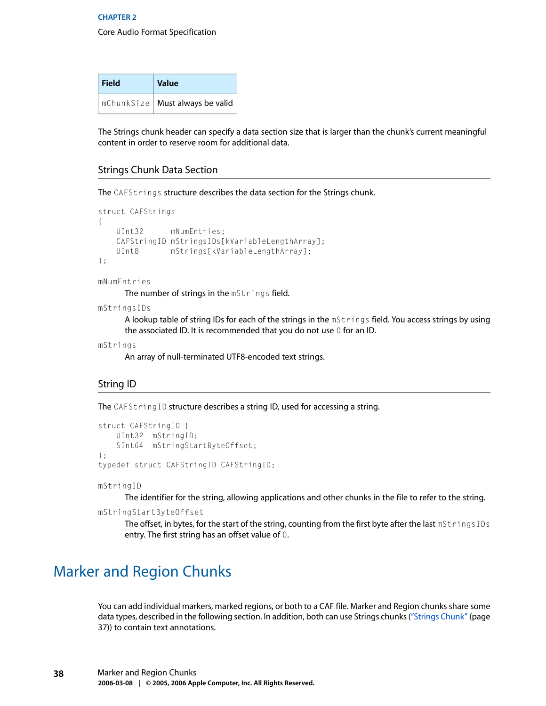Core Audio Format Specification

| <b>Field</b> | <b>Value</b>                      |
|--------------|-----------------------------------|
|              | mChunkSize   Must always be valid |

The Strings chunk header can specify a data section size that is larger than the chunk's current meaningful content in order to reserve room for additional data.

#### Strings Chunk Data Section

The CAFStrings structure describes the data section for the Strings chunk.

```
struct CAFStrings
{
    UInt32 mNumEntries;
    CAFStringID mStringsIDs[kVariableLengthArray];
   UInt8 mStrings[kVariableLengthArray];
};
```
mNumEntries

The number of strings in the mStrings field.

mStringsIDs

A lookup table of string IDs for each of the strings in the mStrings field. You access strings by using the associated ID. It is recommended that you do not use 0 for an ID.

mStrings

An array of null-terminated UTF8-encoded text strings.

### String ID

The CAFStringID structure describes a string ID, used for accessing a string.

```
struct CAFStringID {
    UInt32 mStringID;
   SInt64 mStringStartByteOffset;
};
typedef struct CAFStringID CAFStringID;
```
mStringID

The identifier for the string, allowing applications and other chunks in the file to refer to the string.

<span id="page-37-0"></span>mStringStartByteOffset

The offset, in bytes, for the start of the string, counting from the first byte after the last mStringsIDs entry. The first string has an offset value of 0.

## Marker and Region Chunks

You can add individual markers, marked regions, or both to a CAF file. Marker and Region chunks share some data types, described in the following section. In addition, both can use Strings chunks(["Strings](#page-36-2) Chunk" (page 37)) to contain text annotations.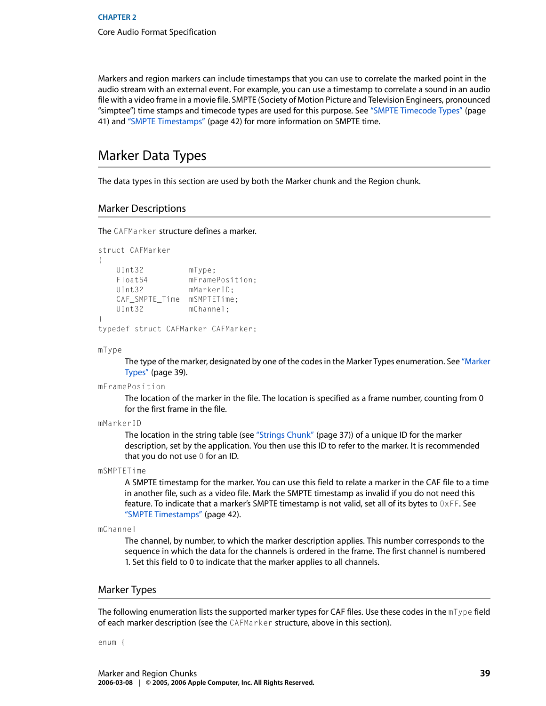Markers and region markers can include timestamps that you can use to correlate the marked point in the audio stream with an external event. For example, you can use a timestamp to correlate a sound in an audio file with a video frame in a movie file. SMPTE (Society of Motion Picture and Television Engineers, pronounced "simptee") time stamps and timecode types are used for this purpose. See "SMPTE [Timecode](#page-40-0) Types" (page 41) and "SMPTE [Timestamps"](#page-41-1) (page 42) for more information on SMPTE time.

## <span id="page-38-0"></span>Marker Data Types

<span id="page-38-2"></span>The data types in this section are used by both the Marker chunk and the Region chunk.

### Marker Descriptions

The CAFMarker structure defines a marker.

```
struct CAFMarker
{
    UInt32 mType;
   Float64 mFramePosition;
   UInt32 mMarkerID;
    CAF_SMPTE_Time mSMPTETime;
    UInt32 mChannel;
}
```
typedef struct CAFMarker CAFMarker;

mType

The type of the marker, designated by one of the codes in the Marker Types enumeration. See ["Marker](#page-38-1) [Types"](#page-38-1) (page 39).

mFramePosition

The location of the marker in the file. The location is specified as a frame number, counting from 0 for the first frame in the file.

mMarkerID

The location in the string table (see ["Strings](#page-36-2) Chunk" (page 37)) of a unique ID for the marker description, set by the application. You then use this ID to refer to the marker. It is recommended that you do not use 0 for an ID.

mSMPTETime

A SMPTE timestamp for the marker. You can use this field to relate a marker in the CAF file to a time in another file, such as a video file. Mark the SMPTE timestamp as invalid if you do not need this feature. To indicate that a marker's SMPTE timestamp is not valid, set all of its bytes to  $0 \times FF$ . See "SMPTE [Timestamps"](#page-41-1) (page 42).

```
mChannel
```
The channel, by number, to which the marker description applies. This number corresponds to the sequence in which the data for the channels is ordered in the frame. The first channel is numbered 1. Set this field to 0 to indicate that the marker applies to all channels.

#### Marker Types

The following enumeration lists the supported marker types for CAF files. Use these codes in the mType field of each marker description (see the CAFMarker structure, above in this section).

enum {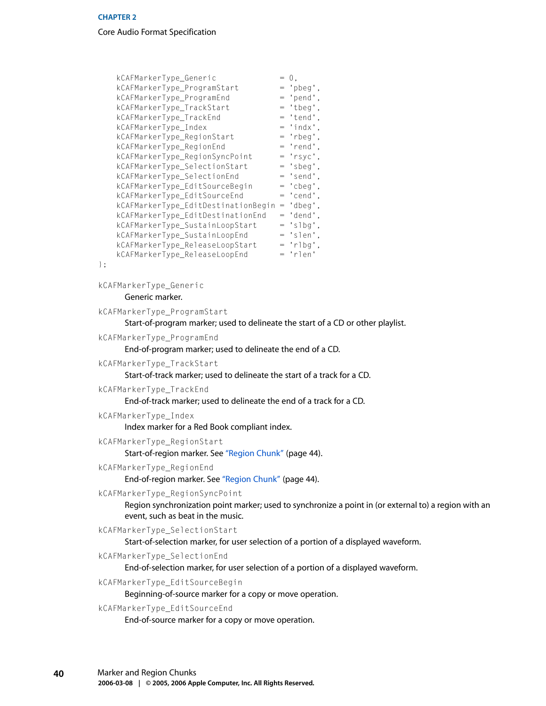### **CHAPTER 2** Core Audio Format Specification

```
 kCAFMarkerType_Generic = 0,
 kCAFMarkerType_ProgramStart = 'pbeg',
 kCAFMarkerType_ProgramEnd = 'pend',
 kCAFMarkerType_TrackStart = 'tbeg',
 kCAFMarkerType_TrackEnd = 'tend',
 kCAFMarkerType_Index = 'indx',
 kCAFMarkerType_RegionStart = 'rbeg',
 kCAFMarkerType_RegionEnd = 'rend',
kCAFMarkerType_RegionSyncPoint = 'rsyc',
kCAFMarkerType_SelectionStart     = 'sbeg',
 kCAFMarkerType_SelectionEnd = 'send',
 kCAFMarkerType_EditSourceBegin = 'cbeg',
 kCAFMarkerType_EditSourceEnd = 'cend',
    kCAFMarkerType_EditDestinationBegin = 'dbeg',
   kCAFMarkerType_EditDestinationEnd = 'dend',
 kCAFMarkerType_SustainLoopStart = 'slbg',
 kCAFMarkerType_SustainLoopEnd = 'slen',
 kCAFMarkerType_ReleaseLoopStart = 'rlbg',
 kCAFMarkerType_ReleaseLoopEnd = 'rlen'
```
};

kCAFMarkerType\_Generic

Generic marker.

kCAFMarkerType\_ProgramStart

Start-of-program marker; used to delineate the start of a CD or other playlist.

kCAFMarkerType\_ProgramEnd

End-of-program marker; used to delineate the end of a CD.

kCAFMarkerType\_TrackStart

Start-of-track marker; used to delineate the start of a track for a CD.

kCAFMarkerType\_TrackEnd

End-of-track marker; used to delineate the end of a track for a CD.

kCAFMarkerType\_Index

Index marker for a Red Book compliant index.

kCAFMarkerType\_RegionStart

Start-of-region marker. See ["Region](#page-43-0) Chunk" (page 44).

kCAFMarkerType\_RegionEnd

End-of-region marker. See ["Region](#page-43-0) Chunk" (page 44).

kCAFMarkerType\_RegionSyncPoint

Region synchronization point marker; used to synchronize a point in (or external to) a region with an event, such as beat in the music.

kCAFMarkerType\_SelectionStart

Start-of-selection marker, for user selection of a portion of a displayed waveform.

kCAFMarkerType\_SelectionEnd

End-of-selection marker, for user selection of a portion of a displayed waveform.

kCAFMarkerType\_EditSourceBegin

Beginning-of-source marker for a copy or move operation.

#### kCAFMarkerType\_EditSourceEnd

End-of-source marker for a copy or move operation.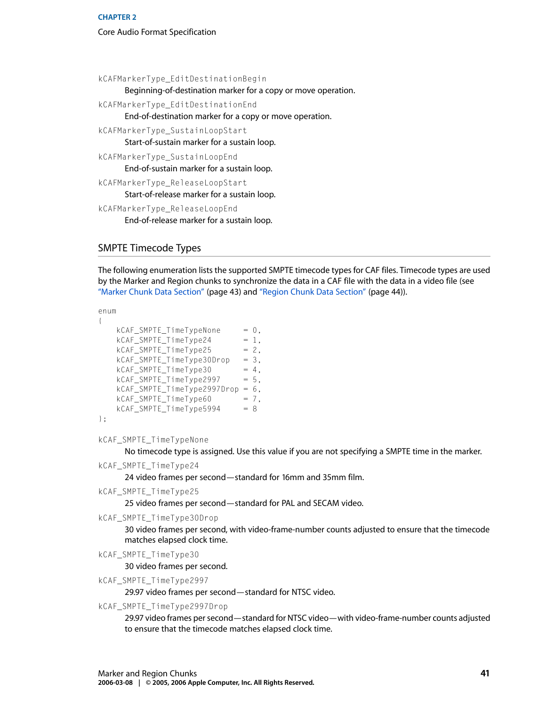#### **CHAPTER 2**

#### Core Audio Format Specification

```
kCAFMarkerType_EditDestinationBegin
```
Beginning-of-destination marker for a copy or move operation.

```
kCAFMarkerType_EditDestinationEnd
```
End-of-destination marker for a copy or move operation.

```
kCAFMarkerType_SustainLoopStart
```
Start-of-sustain marker for a sustain loop.

```
kCAFMarkerType_SustainLoopEnd
```
End-of-sustain marker for a sustain loop.

- kCAFMarkerType\_ReleaseLoopStart Start-of-release marker for a sustain loop.
- <span id="page-40-0"></span>kCAFMarkerType\_ReleaseLoopEnd End-of-release marker for a sustain loop.

#### SMPTE Timecode Types

The following enumeration lists the supported SMPTE timecode types for CAF files. Timecode types are used by the Marker and Region chunks to synchronize the data in a CAF file with the data in a video file (see "Marker Chunk Data [Section"](#page-42-1) (page 43) and "Region Chunk Data [Section"](#page-43-2) (page 44)).

enum {

```
kCAF\_SMPTE\_TimeTypeNone = 0,<br>kCAF\_SMPTF\_TimeType24 = 1, kCAF_SMPTE_TimeType24 = 1,
kCAF\_SMPTE\_TimeType25 = 2,kCAF SMPTE TimeType30Drop = 3,
kCAF\_SMPTE\_TimeType30 = 4,
kCAF\_SMPTE\_TimeType2997 = 5,
kCAF_SMPTE_TimeType2997Drop = 6,<br>kCAF SMPTF TimeType60 = 7,
kCAF_SMPTE_TimeType60
kCAF\_SMPTE\_TimeType5994 = 8
```

```
};
```
kCAF\_SMPTE\_TimeTypeNone

No timecode type is assigned. Use this value if you are not specifying a SMPTE time in the marker.

kCAF\_SMPTE\_TimeType24

24 video frames per second—standard for 16mm and 35mm film.

kCAF\_SMPTE\_TimeType25

25 video frames per second—standard for PAL and SECAM video.

kCAF\_SMPTE\_TimeType30Drop

30 video frames per second, with video-frame-number counts adjusted to ensure that the timecode matches elapsed clock time.

kCAF\_SMPTE\_TimeType30

30 video frames per second.

kCAF\_SMPTE\_TimeType2997

29.97 video frames per second—standard for NTSC video.

kCAF\_SMPTE\_TimeType2997Drop

29.97 video frames persecond—standard for NTSC video—with video-frame-number counts adjusted to ensure that the timecode matches elapsed clock time.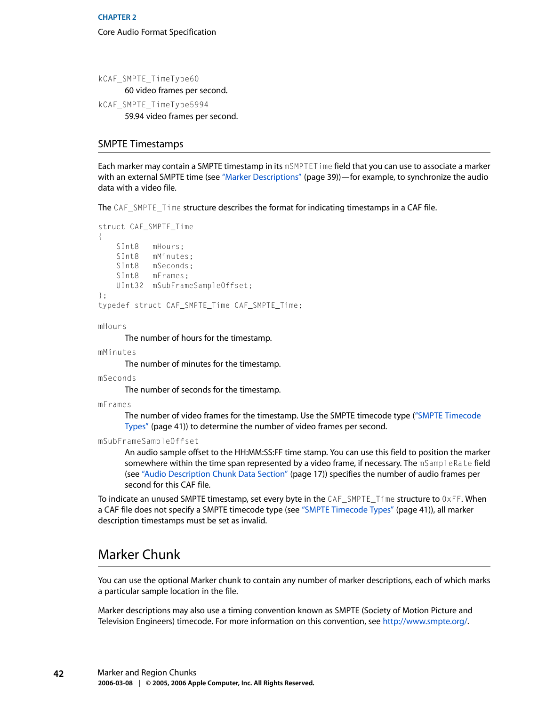- kCAF\_SMPTE\_TimeType60 60 video frames per second. kCAF\_SMPTE\_TimeType5994
	- 59.94 video frames per second.

### <span id="page-41-1"></span>SMPTE Timestamps

Each marker may contain a SMPTE timestamp in its mSMPTETime field that you can use to associate a marker with an external SMPTE time (see "Marker [Descriptions"](#page-38-2) (page 39))—for example, to synchronize the audio data with a video file.

The CAF\_SMPTE\_Time structure describes the format for indicating timestamps in a CAF file.

```
struct CAF_SMPTE_Time
{
    SInt8 mHours;
    SInt8 mMinutes;
   SInt8 mSeconds;
    SInt8 mFrames;
    UInt32 mSubFrameSampleOffset;
};
```
typedef struct CAF\_SMPTE\_Time CAF\_SMPTE\_Time;

mHours

The number of hours for the timestamp.

mMinutes

The number of minutes for the timestamp.

mSeconds

The number of seconds for the timestamp.

mFrames

The number of video frames for the timestamp. Use the SMPTE timecode type ("SMPTE [Timecode](#page-40-0) [Types"](#page-40-0) (page 41)) to determine the number of video frames per second.

```
mSubFrameSampleOffset
```
An audio sample offset to the HH:MM:SS:FF time stamp. You can use this field to position the marker somewhere within the time span represented by a video frame, if necessary. The mSampleRate field (see "Audio [Description](#page-16-2) Chunk Data Section" (page 17)) specifies the number of audio frames per second for this CAF file.

<span id="page-41-0"></span>To indicate an unused SMPTE timestamp, set every byte in the CAF\_SMPTE\_Time structure to 0xFF. When a CAF file does not specify a SMPTE timecode type (see "SMPTE [Timecode](#page-40-0) Types" (page 41)), all marker description timestamps must be set as invalid.

## Marker Chunk

You can use the optional Marker chunk to contain any number of marker descriptions, each of which marks a particular sample location in the file.

Marker descriptions may also use a timing convention known as SMPTE (Society of Motion Picture and Television Engineers) timecode. For more information on this convention, see <http://www.smpte.org/>.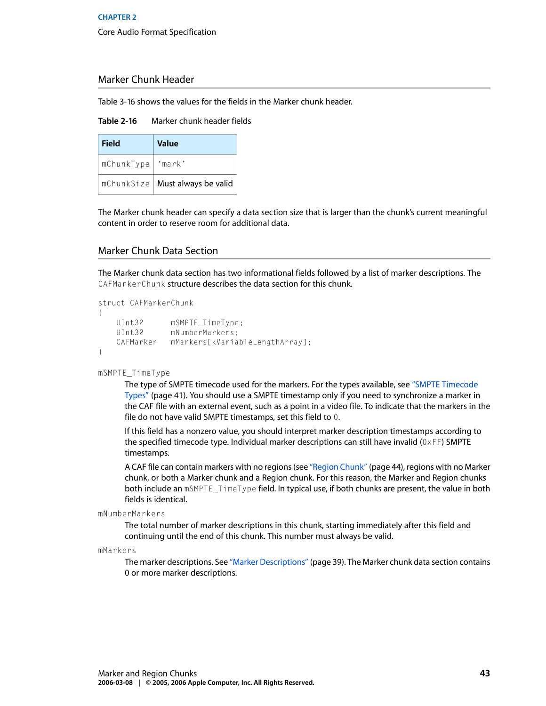### Marker Chunk Header

Table 3-16 shows the values for the fields in the Marker chunk header.

<span id="page-42-0"></span>**Table 2-16** Marker chunk header fields

| Field               | Value                             |
|---------------------|-----------------------------------|
| mChunkType   'mark' |                                   |
|                     | mChunkSize   Must always be valid |

<span id="page-42-1"></span>The Marker chunk header can specify a data section size that is larger than the chunk's current meaningful content in order to reserve room for additional data.

### Marker Chunk Data Section

The Marker chunk data section has two informational fields followed by a list of marker descriptions. The CAFMarkerChunk structure describes the data section for this chunk.

```
struct CAFMarkerChunk
{
    UInt32 mSMPTE_TimeType;
    UInt32 mNumberMarkers;
    CAFMarker mMarkers[kVariableLengthArray];
}
```
#### mSMPTE\_TimeType

The type of SMPTE timecode used for the markers. For the types available, see "SMPTE [Timecode](#page-40-0) [Types"](#page-40-0) (page 41). You should use a SMPTE timestamp only if you need to synchronize a marker in the CAF file with an external event, such as a point in a video file. To indicate that the markers in the file do not have valid SMPTE timestamps, set this field to 0.

If this field has a nonzero value, you should interpret marker description timestamps according to the specified timecode type. Individual marker descriptions can still have invalid  $(0 \times F)$  SMPTE timestamps.

A CAF file can contain markers with no regions(see ["Region](#page-43-0) Chunk" (page 44), regions with no Marker chunk, or both a Marker chunk and a Region chunk. For this reason, the Marker and Region chunks both include an mSMPTE\_TimeType field. In typical use, if both chunks are present, the value in both fields is identical.

mNumberMarkers

The total number of marker descriptions in this chunk, starting immediately after this field and continuing until the end of this chunk. This number must always be valid.

mMarkers

The marker descriptions. See "Marker [Descriptions"](#page-38-2) (page 39). The Marker chunk data section contains 0 or more marker descriptions.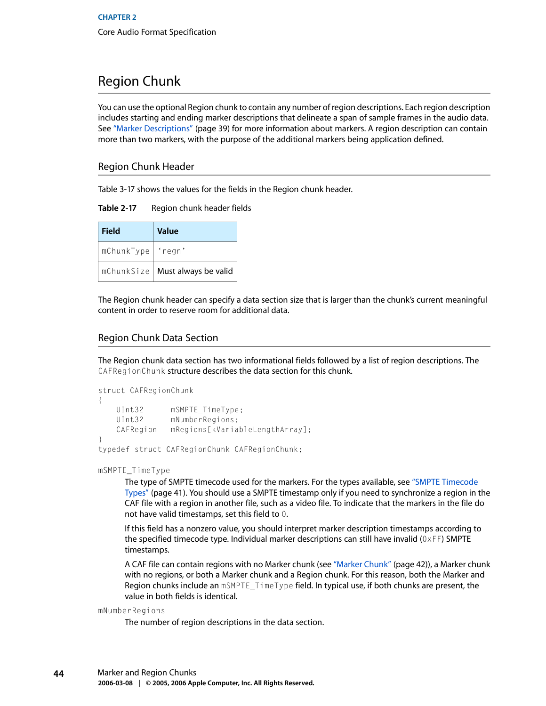## <span id="page-43-0"></span>Region Chunk

You can use the optional Region chunk to contain any number of region descriptions. Each region description includes starting and ending marker descriptions that delineate a span of sample frames in the audio data. See "Marker [Descriptions"](#page-38-2) (page 39) for more information about markers. A region description can contain more than two markers, with the purpose of the additional markers being application defined.

### Region Chunk Header

<span id="page-43-1"></span>Table 3-17 shows the values for the fields in the Region chunk header.

**Table 2-17** Region chunk header fields

| Field      | Value                |
|------------|----------------------|
| mChunkType | 'regn'               |
| mChunkSize | Must always be valid |

<span id="page-43-2"></span>The Region chunk header can specify a data section size that is larger than the chunk's current meaningful content in order to reserve room for additional data.

### Region Chunk Data Section

The Region chunk data section has two informational fields followed by a list of region descriptions. The CAFRegionChunk structure describes the data section for this chunk.

```
struct CAFRegionChunk
{
    UInt32 mSMPTE_TimeType;
    UInt32 mNumberRegions;
    CAFRegion mRegions[kVariableLengthArray];
}
```
typedef struct CAFRegionChunk CAFRegionChunk;

#### mSMPTE\_TimeType

The type of SMPTE timecode used for the markers. For the types available, see "SMPTE [Timecode](#page-40-0) [Types"](#page-40-0) (page 41). You should use a SMPTE timestamp only if you need to synchronize a region in the CAF file with a region in another file, such as a video file. To indicate that the markers in the file do not have valid timestamps, set this field to 0.

If this field has a nonzero value, you should interpret marker description timestamps according to the specified timecode type. Individual marker descriptions can still have invalid (0xFF) SMPTE timestamps.

A CAF file can contain regions with no Marker chunk (see ["Marker](#page-41-0) Chunk" (page 42)), a Marker chunk with no regions, or both a Marker chunk and a Region chunk. For this reason, both the Marker and Region chunks include an  $mSMPTE$   $TimeType$  field. In typical use, if both chunks are present, the value in both fields is identical.

#### mNumberRegions

The number of region descriptions in the data section.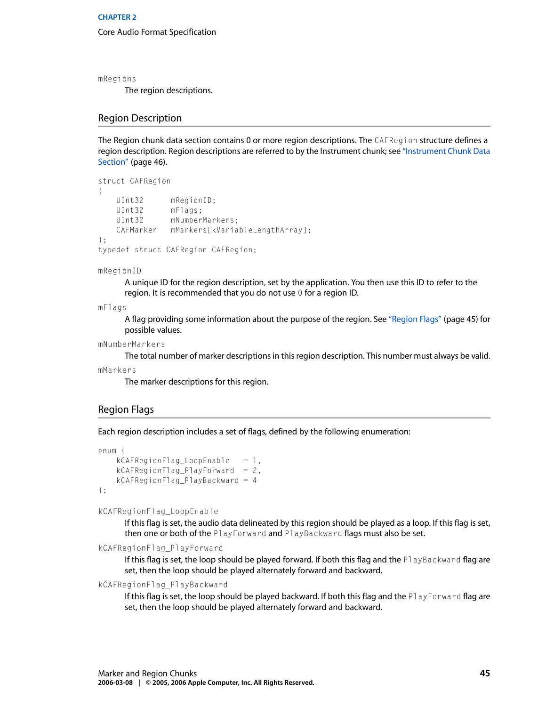mRegions

The region descriptions.

### <span id="page-44-1"></span>Region Description

The Region chunk data section contains 0 or more region descriptions. The CAFRegion structure defines a region description. Region descriptions are referred to by the Instrument chunk; see ["Instrument](#page-45-3) Chunk Data [Section"](#page-45-3) (page 46).

```
struct CAFRegion
{
    UInt32 mRegionID;
    UInt32 mFlags;
    UInt32 mNumberMarkers;
    CAFMarker mMarkers[kVariableLengthArray];
};
typedef struct CAFRegion CAFRegion;
```
#### mRegionID

A unique ID for the region description, set by the application. You then use this ID to refer to the region. It is recommended that you do not use 0 for a region ID.

mFlags

A flag providing some information about the purpose of the region. See ["Region](#page-44-0) Flags" (page 45) for possible values.

#### mNumberMarkers

The total number of marker descriptions in this region description. This number must always be valid.

<span id="page-44-0"></span>mMarkers

The marker descriptions for this region.

#### Region Flags

Each region description includes a set of flags, defined by the following enumeration:

```
enum {
   kCAFRegionFlag\_LoopEnable = 1,kCAFRegionFlag_PlayForward = 2,
     kCAFRegionFlag_PlayBackward = 4
};
```
kCAFRegionFlag\_LoopEnable

If this flag is set, the audio data delineated by this region should be played as a loop. If this flag is set, then one or both of the PlayForward and PlayBackward flags must also be set.

kCAFRegionFlag\_PlayForward

If this flag is set, the loop should be played forward. If both this flag and the PlayBackward flag are set, then the loop should be played alternately forward and backward.

kCAFRegionFlag\_PlayBackward

If this flag is set, the loop should be played backward. If both this flag and the PlayForward flag are set, then the loop should be played alternately forward and backward.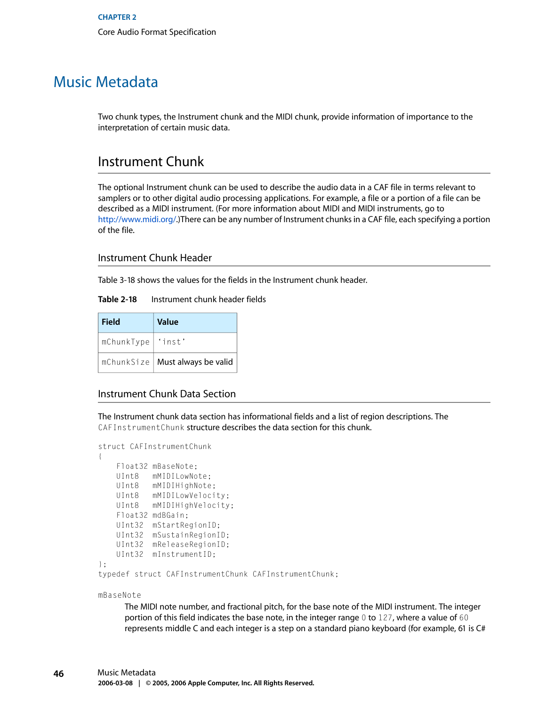## <span id="page-45-0"></span>Music Metadata

Two chunk types, the Instrument chunk and the MIDI chunk, provide information of importance to the interpretation of certain music data.

### <span id="page-45-1"></span>Instrument Chunk

The optional Instrument chunk can be used to describe the audio data in a CAF file in terms relevant to samplers or to other digital audio processing applications. For example, a file or a portion of a file can be described as a MIDI instrument. (For more information about MIDI and MIDI instruments, go to [http://www.midi.org/.](http://www.midi.org/))There can be any number of Instrument chunks in a CAF file, each specifying a portion of the file.

Instrument Chunk Header

<span id="page-45-2"></span>Table 3-18 shows the values for the fields in the Instrument chunk header.

| <b>Table 2-18</b><br>Instrument chunk header fields |  |
|-----------------------------------------------------|--|
|-----------------------------------------------------|--|

<span id="page-45-3"></span>

| <b>Field</b>        | <b>Value</b>                      |
|---------------------|-----------------------------------|
| mChunkType   'inst' |                                   |
|                     | mChunkSize   Must always be valid |

### Instrument Chunk Data Section

The Instrument chunk data section has informational fields and a list of region descriptions. The CAFInstrumentChunk structure describes the data section for this chunk.

```
struct CAFInstrumentChunk
{
    Float32 mBaseNote;
    UInt8 mMIDILowNote;
    UInt8 mMIDIHighNote;
    UInt8 mMIDILowVelocity;
    UInt8 mMIDIHighVelocity;
    Float32 mdBGain;
    UInt32 mStartRegionID;
    UInt32 mSustainRegionID;
    UInt32 mReleaseRegionID;
    UInt32 mInstrumentID;
};
typedef struct CAFInstrumentChunk CAFInstrumentChunk;
```
#### mBaseNote

The MIDI note number, and fractional pitch, for the base note of the MIDI instrument. The integer portion of this field indicates the base note, in the integer range  $0$  to  $127$ , where a value of  $60$ represents middle C and each integer is a step on a standard piano keyboard (for example, 61 is C#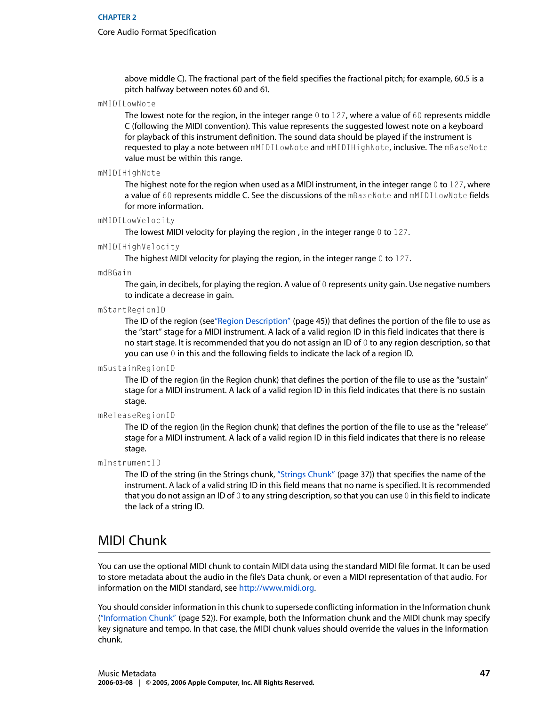above middle C). The fractional part of the field specifies the fractional pitch; for example, 60.5 is a pitch halfway between notes 60 and 61.

mMIDILowNote

The lowest note for the region, in the integer range  $0$  to  $127$ , where a value of 60 represents middle C (following the MIDI convention). This value represents the suggested lowest note on a keyboard for playback of this instrument definition. The sound data should be played if the instrument is requested to play a note between mMIDILowNote and mMIDIHighNote, inclusive. The mBaseNote value must be within this range.

mMIDIHighNote

The highest note for the region when used as a MIDI instrument, in the integer range  $0$  to  $127$ , where a value of 60 represents middle C. See the discussions of the mBaseNote and mMIDILowNote fields for more information.

mMIDILowVelocity

The lowest MIDI velocity for playing the region, in the integer range  $0$  to  $127$ .

mMIDIHighVelocity

The highest MIDI velocity for playing the region, in the integer range  $0$  to  $127$ .

mdBGain

The gain, in decibels, for playing the region. A value of 0 represents unity gain. Use negative numbers to indicate a decrease in gain.

mStartRegionID

The ID of the region (see"Region [Description"](#page-44-1) (page 45)) that defines the portion of the file to use as the "start" stage for a MIDI instrument. A lack of a valid region ID in this field indicates that there is no start stage. It is recommended that you do not assign an ID of 0 to any region description, so that you can use 0 in this and the following fields to indicate the lack of a region ID.

mSustainRegionID

The ID of the region (in the Region chunk) that defines the portion of the file to use as the "sustain" stage for a MIDI instrument. A lack of a valid region ID in this field indicates that there is no sustain stage.

```
mReleaseRegionID
```
The ID of the region (in the Region chunk) that defines the portion of the file to use as the "release" stage for a MIDI instrument. A lack of a valid region ID in this field indicates that there is no release stage.

<span id="page-46-0"></span>mInstrumentID

The ID of the string (in the Strings chunk, ["Strings](#page-36-2) Chunk" (page 37)) that specifies the name of the instrument. A lack of a valid string ID in this field means that no name is specified. It is recommended that you do not assign an ID of 0 to any string description, so that you can use 0 in this field to indicate the lack of a string ID.

### MIDI Chunk

You can use the optional MIDI chunk to contain MIDI data using the standard MIDI file format. It can be used to store metadata about the audio in the file's Data chunk, or even a MIDI representation of that audio. For information on the MIDI standard, see [http://www.midi.org](http://www.midi.org/).

You should consider information in this chunk to supersede conflicting information in the Information chunk (["Information](#page-51-0) Chunk" (page 52)). For example, both the Information chunk and the MIDI chunk may specify key signature and tempo. In that case, the MIDI chunk values should override the values in the Information chunk.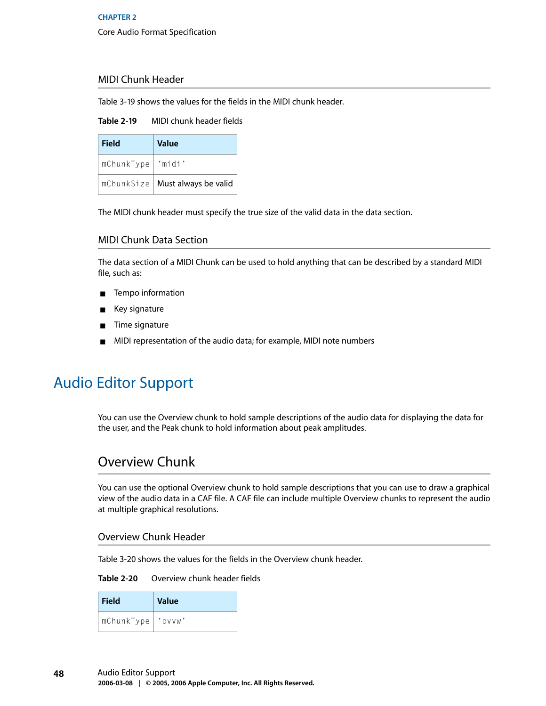### MIDI Chunk Header

<span id="page-47-2"></span>Table 3-19 shows the values for the fields in the MIDI chunk header.

**Table 2-19** MIDI chunk header fields

| <b>Field</b>        | <b>Value</b>                      |
|---------------------|-----------------------------------|
| mChunkType   'midi' |                                   |
|                     | mChunkSize   Must always be valid |

The MIDI chunk header must specify the true size of the valid data in the data section.

### MIDI Chunk Data Section

The data section of a MIDI Chunk can be used to hold anything that can be described by a standard MIDI file, such as:

- Tempo information
- Key signature
- Time signature
- MIDI representation of the audio data; for example, MIDI note numbers

## <span id="page-47-0"></span>Audio Editor Support

<span id="page-47-1"></span>You can use the Overview chunk to hold sample descriptions of the audio data for displaying the data for the user, and the Peak chunk to hold information about peak amplitudes.

## Overview Chunk

You can use the optional Overview chunk to hold sample descriptions that you can use to draw a graphical view of the audio data in a CAF file. A CAF file can include multiple Overview chunks to represent the audio at multiple graphical resolutions.

#### <span id="page-47-3"></span>Overview Chunk Header

Table 3-20 shows the values for the fields in the Overview chunk header.

**Table 2-20** Overview chunk header fields

| <b>Field</b> | Value     |
|--------------|-----------|
| mChunkType   | $'$ OVVW' |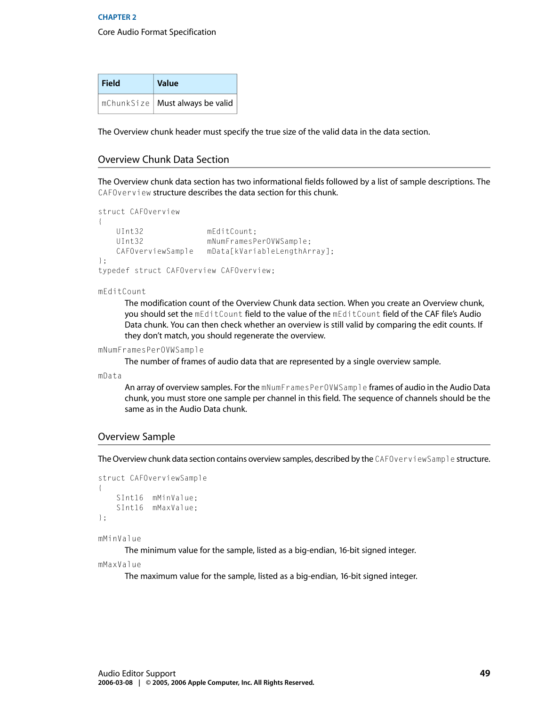| Field | <b>Value</b>                      |
|-------|-----------------------------------|
|       | mChunkSize   Must always be valid |

The Overview chunk header must specify the true size of the valid data in the data section.

### Overview Chunk Data Section

The Overview chunk data section has two informational fields followed by a list of sample descriptions. The CAFOverview structure describes the data section for this chunk.

```
struct CAFOverview
{
   UInt32 mEditCount:
   UInt32 mNumFramesPerOVWSample;
    CAFOverviewSample mData[kVariableLengthArray];
};
typedef struct CAFOverview CAFOverview;
```
mEditCount

The modification count of the Overview Chunk data section. When you create an Overview chunk, you should set the mEditCount field to the value of the mEditCount field of the CAF file's Audio Data chunk. You can then check whether an overview is still valid by comparing the edit counts. If they don't match, you should regenerate the overview.

mNumFramesPerOVWSample

The number of frames of audio data that are represented by a single overview sample.

mData

An array of overview samples. For the mNumFramesPerOVWSample frames of audio in the Audio Data chunk, you must store one sample per channel in this field. The sequence of channels should be the same as in the Audio Data chunk.

#### Overview Sample

The Overview chunk data section contains overview samples, described by the CAFOverviewSample structure.

```
struct CAFOverviewSample
{
     SInt16 mMinValue;
     SInt16 mMaxValue;
};
```
mMinValue

The minimum value for the sample, listed as a big-endian, 16-bit signed integer.

mMaxValue

The maximum value for the sample, listed as a big-endian, 16-bit signed integer.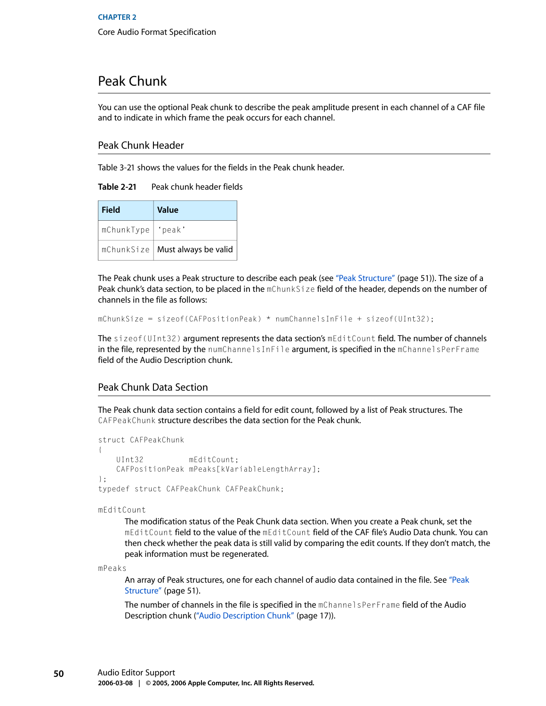## <span id="page-49-0"></span>Peak Chunk

You can use the optional Peak chunk to describe the peak amplitude present in each channel of a CAF file and to indicate in which frame the peak occurs for each channel.

#### Peak Chunk Header

<span id="page-49-1"></span>Table 3-21 shows the values for the fields in the Peak chunk header.

| <b>Table 2-21</b><br>Peak chunk header fields |
|-----------------------------------------------|
|-----------------------------------------------|

| <b>Field</b>        | Value                             |
|---------------------|-----------------------------------|
| mChunkType   'peak' |                                   |
|                     | mChunkSize   Must always be valid |

The Peak chunk uses a Peak structure to describe each peak (see "Peak [Structure"](#page-50-3) (page 51)). The size of a Peak chunk's data section, to be placed in the mChunkSize field of the header, depends on the number of channels in the file as follows:

mChunkSize = sizeof(CAFPositionPeak) \* numChannelsInFile + sizeof(UInt32);

The sizeof(UInt32) argument represents the data section's mEditCount field. The number of channels in the file, represented by the numChannelsInFile argument, is specified in the mChannelsPerFrame field of the Audio Description chunk.

### Peak Chunk Data Section

The Peak chunk data section contains a field for edit count, followed by a list of Peak structures. The CAFPeakChunk structure describes the data section for the Peak chunk.

```
struct CAFPeakChunk
{
    UInt32 mEditCount;
    CAFPositionPeak mPeaks[kVariableLengthArray];
};
typedef struct CAFPeakChunk CAFPeakChunk;
```
mEditCount

The modification status of the Peak Chunk data section. When you create a Peak chunk, set the mEditCount field to the value of the mEditCount field of the CAF file's Audio Data chunk. You can then check whether the peak data is still valid by comparing the edit counts. If they don't match, the peak information must be regenerated.

mPeaks

An array of Peak structures, one for each channel of audio data contained in the file. See ["Peak](#page-50-3) [Structure"](#page-50-3) (page 51).

The number of channels in the file is specified in the mChannelsPerFrame field of the Audio Description chunk ("Audio [Description](#page-16-0) Chunk" (page 17)).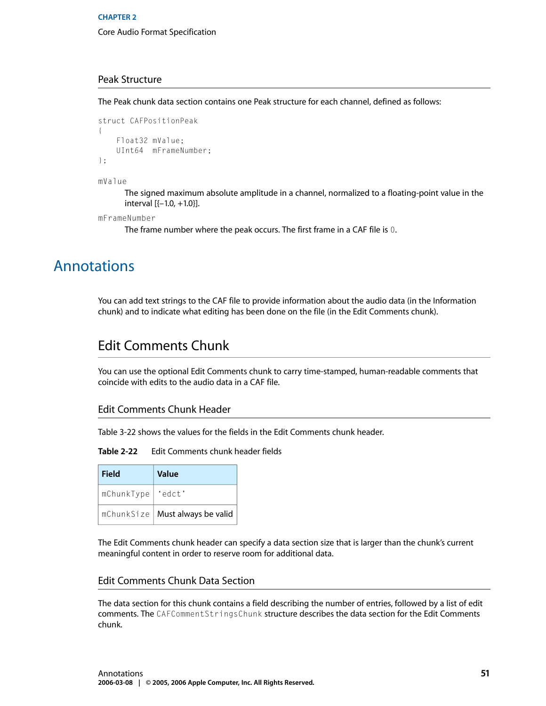### <span id="page-50-3"></span>Peak Structure

The Peak chunk data section contains one Peak structure for each channel, defined as follows:

```
struct CAFPositionPeak
{
     Float32 mValue;
     UInt64 mFrameNumber;
};
```
mValue

The signed maximum absolute amplitude in a channel, normalized to a floating-point value in the interval  $[{-1.0, +1.0}]$ .

```
mFrameNumber
```
The frame number where the peak occurs. The first frame in a CAF file is 0.

## <span id="page-50-0"></span>Annotations

<span id="page-50-1"></span>You can add text strings to the CAF file to provide information about the audio data (in the Information chunk) and to indicate what editing has been done on the file (in the Edit Comments chunk).

## Edit Comments Chunk

You can use the optional Edit Comments chunk to carry time-stamped, human-readable comments that coincide with edits to the audio data in a CAF file.

#### <span id="page-50-2"></span>Edit Comments Chunk Header

Table 3-22 shows the values for the fields in the Edit Comments chunk header.

| <b>Table 2-22</b> | Edit Comments chunk header fields |  |
|-------------------|-----------------------------------|--|
|                   |                                   |  |
|                   |                                   |  |
|                   |                                   |  |

| <b>Field</b>        | <b>Value</b>                      |
|---------------------|-----------------------------------|
| mChunkType   'edct' |                                   |
|                     | mChunkSize   Must always be valid |

The Edit Comments chunk header can specify a data section size that is larger than the chunk's current meaningful content in order to reserve room for additional data.

### Edit Comments Chunk Data Section

The data section for this chunk contains a field describing the number of entries, followed by a list of edit comments. The CAFCommentStringsChunk structure describes the data section for the Edit Comments chunk.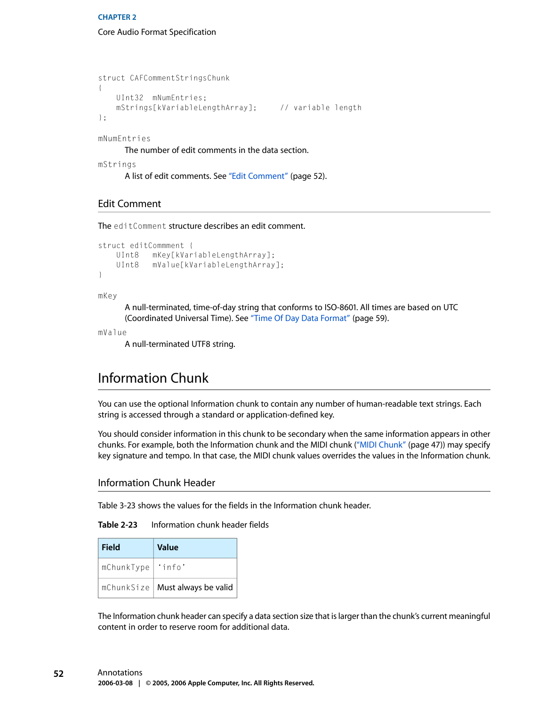#### **CHAPTER 2**

Core Audio Format Specification

```
struct CAFCommentStringsChunk
{
    UInt32 mNumEntries;
    mStrings[kVariableLengthArray]; // variable length
};
mNumEntries
```
The number of edit comments in the data section.

<span id="page-51-2"></span>mStrings

A list of edit comments. See "Edit [Comment"](#page-51-2) (page 52).

#### Edit Comment

The editComment structure describes an edit comment.

```
struct editCommment {
    UInt8 mKey[kVariableLengthArray];
    UInt8 mValue[kVariableLengthArray];
}
```
mKey

A null-terminated, time-of-day string that conforms to ISO-8601. All times are based on UTC (Coordinated Universal Time). See "Time Of Day Data [Format"](#page-58-2) (page 59).

<span id="page-51-0"></span>mValue

A null-terminated UTF8 string.

### Information Chunk

You can use the optional Information chunk to contain any number of human-readable text strings. Each string is accessed through a standard or application-defined key.

You should consider information in this chunk to be secondary when the same information appears in other chunks. For example, both the Information chunk and the MIDI chunk ("MIDI [Chunk"](#page-46-0) (page 47)) may specify key signature and tempo. In that case, the MIDI chunk values overrides the values in the Information chunk.

#### <span id="page-51-1"></span>Information Chunk Header

Table 3-23 shows the values for the fields in the Information chunk header.

**Table 2-23** Information chunk header fields

| Field               | <b>Value</b>                      |
|---------------------|-----------------------------------|
| mChunkType   'info' |                                   |
|                     | mChunkSize   Must always be valid |

The Information chunk header can specify a data section size that islarger than the chunk's current meaningful content in order to reserve room for additional data.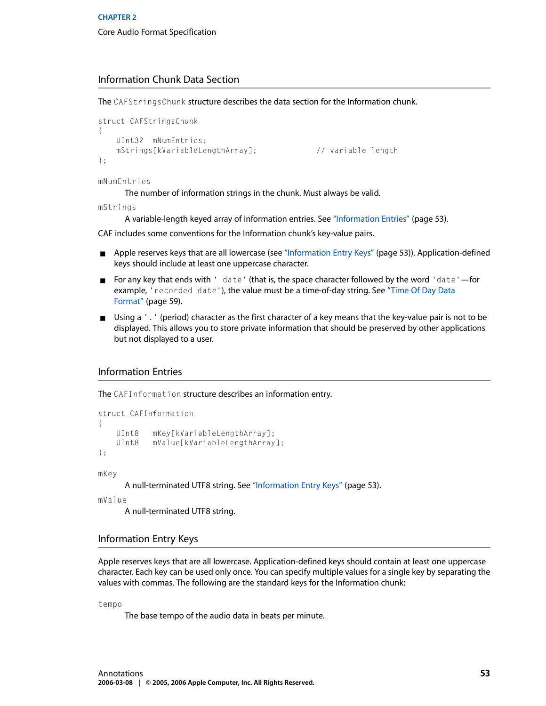### Information Chunk Data Section

The CAFStringsChunk structure describes the data section for the Information chunk.

```
struct CAFStringsChunk
{
    UInt32 mNumEntries;
    mStrings[kVariableLengthArray]; // variable length
};
```
mNumEntries

The number of information strings in the chunk. Must always be valid.

mStrings

A variable-length keyed array of information entries. See ["Information](#page-52-0) Entries" (page 53).

CAF includes some conventions for the Information chunk's key-value pairs.

- Apple reserves keys that are all lowercase (see ["Information](#page-52-1) Entry Keys" (page 53)). Application-defined keys should include at least one uppercase character.
- For any key that ends with ' date' (that is, the space character followed by the word 'date'—for example, 'recorded date'), the value must be a time-of-day string. See ["Time](#page-58-2) Of Day Data [Format"](#page-58-2) (page 59).
- <span id="page-52-0"></span>Using a '.' (period) character as the first character of a key means that the key-value pair is not to be displayed. This allows you to store private information that should be preserved by other applications but not displayed to a user.

### Information Entries

The CAFInformation structure describes an information entry.

```
struct CAFInformation
{
    UInt8 mKey[kVariableLengthArray];
    UInt8 mValue[kVariableLengthArray];
};
```
<span id="page-52-1"></span>mKey

A null-terminated UTF8 string. See ["Information](#page-52-1) Entry Keys" (page 53).

mValue

A null-terminated UTF8 string.

#### Information Entry Keys

Apple reserves keys that are all lowercase. Application-defined keys should contain at least one uppercase character. Each key can be used only once. You can specify multiple values for a single key by separating the values with commas. The following are the standard keys for the Information chunk:

tempo

The base tempo of the audio data in beats per minute.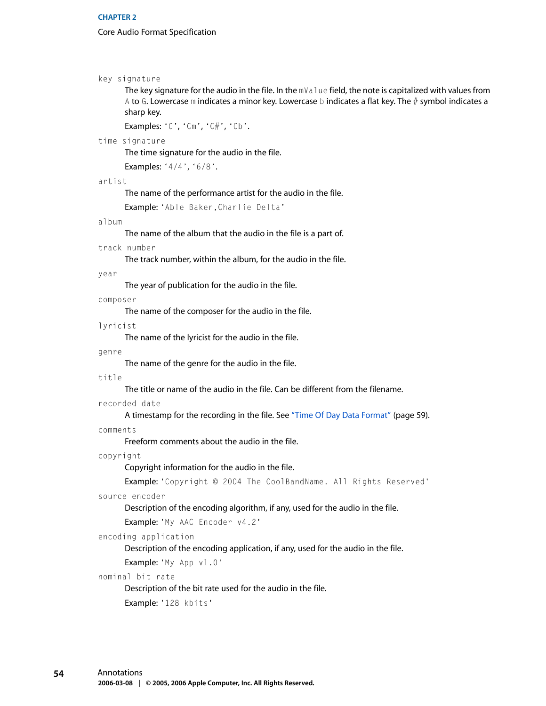#### **CHAPTER 2**

#### Core Audio Format Specification

#### key signature

The key signature for the audio in the file. In the  $mVa$  lue field, the note is capitalized with values from A to G. Lowercase m indicates a minor key. Lowercase b indicates a flat key. The  $\#$  symbol indicates a sharp key.

```
Examples: 'C', 'Cm', 'C#', 'Cb'.
```
#### time signature

The time signature for the audio in the file.

Examples: '4/4', '6/8'.

artist

The name of the performance artist for the audio in the file.

Example: 'Able Baker,Charlie Delta'

#### album

The name of the album that the audio in the file is a part of.

#### track number

The track number, within the album, for the audio in the file.

#### year

The year of publication for the audio in the file.

#### composer

The name of the composer for the audio in the file.

#### lyricist

The name of the lyricist for the audio in the file.

## genre

The name of the genre for the audio in the file.

### title

The title or name of the audio in the file. Can be different from the filename.

### recorded date

A timestamp for the recording in the file. See "Time Of Day Data [Format"](#page-58-2) (page 59).

#### comments

Freeform comments about the audio in the file.

copyright

#### Copyright information for the audio in the file.

Example: 'Copyright © 2004 The CoolBandName. All Rights Reserved'

#### source encoder

#### Description of the encoding algorithm, if any, used for the audio in the file.

Example: 'My AAC Encoder v4.2'

#### encoding application

Description of the encoding application, if any, used for the audio in the file.

Example: 'My App v1.0'

#### nominal bit rate

Description of the bit rate used for the audio in the file.

```
Example: '128 kbits'
```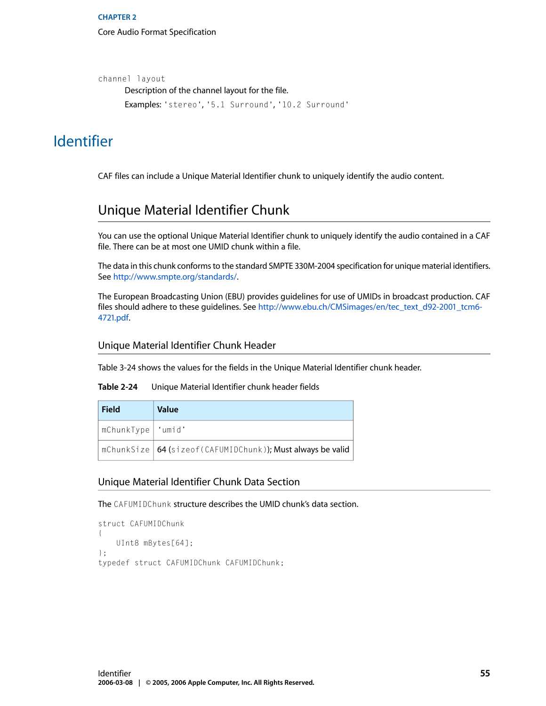```
channel layout
      Description of the channel layout for the file.
      Examples: 'stereo', '5.1 Surround', '10.2 Surround'
```
## <span id="page-54-0"></span>Identifier

<span id="page-54-1"></span>CAF files can include a Unique Material Identifier chunk to uniquely identify the audio content.

## Unique Material Identifier Chunk

You can use the optional Unique Material Identifier chunk to uniquely identify the audio contained in a CAF file. There can be at most one UMID chunk within a file.

The data in this chunk conformsto the standard SMPTE 330M-2004 specification for unique material identifiers. See [http://www.smpte.org/standards/.](http://www.smpte.org/standards/)

The European Broadcasting Union (EBU) provides guidelines for use of UMIDs in broadcast production. CAF files should adhere to these guidelines. See [http://www.ebu.ch/CMSimages/en/tec\\_text\\_d92-2001\\_tcm6-](http://www.ebu.ch/CMSimages/en/tec_text_d92-2001_tcm6-4721.pdf) [4721.pdf](http://www.ebu.ch/CMSimages/en/tec_text_d92-2001_tcm6-4721.pdf).

### <span id="page-54-2"></span>Unique Material Identifier Chunk Header

Table 3-24 shows the values for the fields in the Unique Material Identifier chunk header.

**Table 2-24** Unique Material Identifier chunk header fields

| Field               | <b>Value</b>                                                    |
|---------------------|-----------------------------------------------------------------|
| mChunkType   'umid' |                                                                 |
|                     | mChunkSize   $64$ (sizeof (CAFUMIDChunk)); Must always be valid |

### Unique Material Identifier Chunk Data Section

The CAFUMIDChunk structure describes the UMID chunk's data section.

```
struct CAFUMIDChunk
{
    UInt8 mBytes[64];
};
typedef struct CAFUMIDChunk CAFUMIDChunk;
```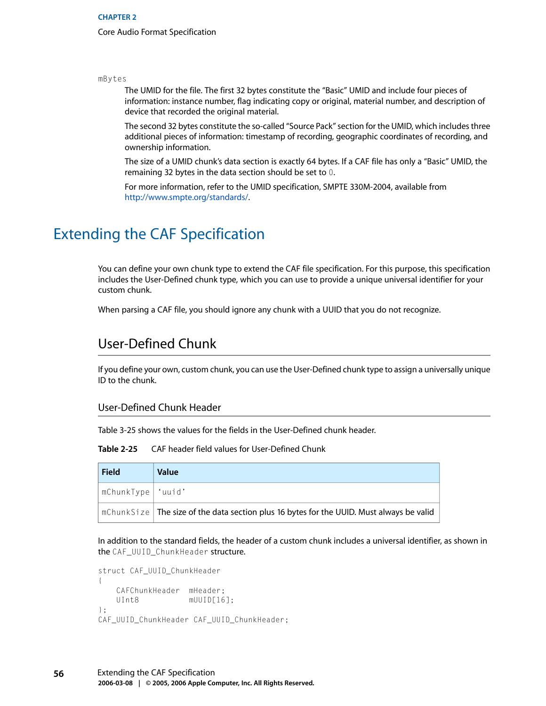mBytes

The UMID for the file. The first 32 bytes constitute the "Basic" UMID and include four pieces of information: instance number, flag indicating copy or original, material number, and description of device that recorded the original material.

The second 32 bytes constitute the so-called "Source Pack" section for the UMID, which includes three additional pieces of information: timestamp of recording, geographic coordinates of recording, and ownership information.

The size of a UMID chunk's data section is exactly 64 bytes. If a CAF file has only a "Basic" UMID, the remaining 32 bytes in the data section should be set to 0.

For more information, refer to the UMID specification, SMPTE 330M-2004, available from <http://www.smpte.org/standards/>.

## <span id="page-55-0"></span>Extending the CAF Specification

You can define your own chunk type to extend the CAF file specification. For this purpose, this specification includes the User-Defined chunk type, which you can use to provide a unique universal identifier for your custom chunk.

<span id="page-55-1"></span>When parsing a CAF file, you should ignore any chunk with a UUID that you do not recognize.

### User-Defined Chunk

If you define your own, custom chunk, you can use the User-Defined chunk type to assign a universally unique ID to the chunk.

#### <span id="page-55-2"></span>User-Defined Chunk Header

Table 3-25 shows the values for the fields in the User-Defined chunk header.

**Table 2-25** CAF header field values for User-Defined Chunk

| <b>Field</b>      | <b>Value</b>                                                                                  |
|-------------------|-----------------------------------------------------------------------------------------------|
| mChunkType 'uuid' |                                                                                               |
|                   | $m$ ChunkSize   The size of the data section plus 16 bytes for the UUID. Must always be valid |

In addition to the standard fields, the header of a custom chunk includes a universal identifier, as shown in the CAF\_UUID\_ChunkHeader structure.

```
struct CAF_UUID_ChunkHeader
{
    CAFChunkHeader mHeader;
   UInt8 mUUID[16]:
};
CAF_UUID_ChunkHeader CAF_UUID_ChunkHeader;
```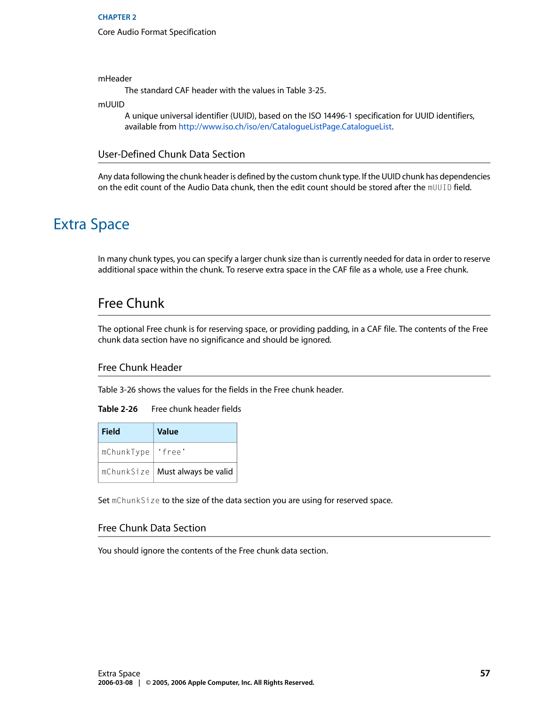#### **CHAPTER 2**

Core Audio Format Specification

#### mHeader

The standard CAF header with the values in Table 3-25.

#### mUUID

A unique universal identifier (UUID), based on the ISO 14496-1 specification for UUID identifiers, available from <http://www.iso.ch/iso/en/CatalogueListPage.CatalogueList>.

### User-Defined Chunk Data Section

Any data following the chunk header is defined by the custom chunk type. If the UUID chunk has dependencies on the edit count of the Audio Data chunk, then the edit count should be stored after the mUUID field.

## <span id="page-56-0"></span>Extra Space

<span id="page-56-1"></span>In many chunk types, you can specify a larger chunk size than is currently needed for data in order to reserve additional space within the chunk. To reserve extra space in the CAF file as a whole, use a Free chunk.

### Free Chunk

The optional Free chunk is for reserving space, or providing padding, in a CAF file. The contents of the Free chunk data section have no significance and should be ignored.

#### <span id="page-56-2"></span>Free Chunk Header

Table 3-26 shows the values for the fields in the Free chunk header.

#### **Table 2-26** Free chunk header fields

| <b>Field</b>        | <b>Value</b>                      |
|---------------------|-----------------------------------|
| mChunkType   'free' |                                   |
|                     | mChunkSize   Must always be valid |

Set mChunkSize to the size of the data section you are using for reserved space.

#### Free Chunk Data Section

You should ignore the contents of the Free chunk data section.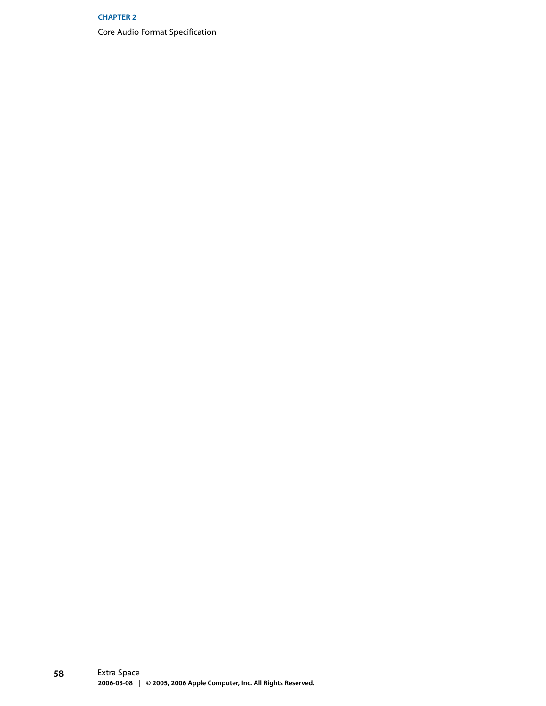### **CHAPTER 2**

Core Audio Format Specification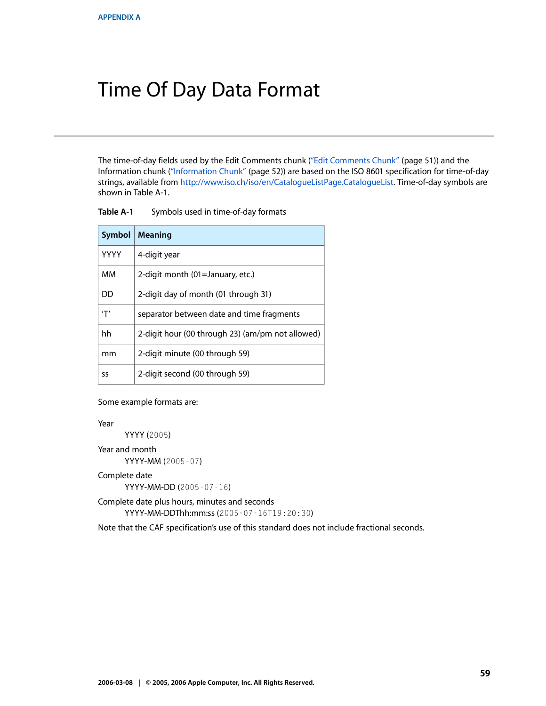# <span id="page-58-0"></span>Time Of Day Data Format

<span id="page-58-2"></span>The time-of-day fields used by the Edit Comments chunk ("Edit [Comments](#page-50-1) Chunk" (page 51)) and the Information chunk [\("Information](#page-51-0) Chunk" (page 52)) are based on the ISO 8601 specification for time-of-day strings, available from <http://www.iso.ch/iso/en/CatalogueListPage.CatalogueList>. Time-of-day symbols are shown in Table A-1.

<span id="page-58-1"></span>

| Table A-1 |  |  | Symbols used in time-of-day formats |  |
|-----------|--|--|-------------------------------------|--|
|-----------|--|--|-------------------------------------|--|

| <b>Symbol</b> | <b>Meaning</b>                                   |
|---------------|--------------------------------------------------|
| <b>YYYY</b>   | 4-digit year                                     |
| MМ            | 2-digit month (01=January, etc.)                 |
| DD            | 2-digit day of month (01 through 31)             |
| 'T'           | separator between date and time fragments        |
| hh            | 2-digit hour (00 through 23) (am/pm not allowed) |
| mm            | 2-digit minute (00 through 59)                   |
| SS            | 2-digit second (00 through 59)                   |

Some example formats are:

Year

YYYY (2005)

Year and month

YYYY-MM (2005-07)

Complete date YYYY-MM-DD (2005-07-16)

Complete date plus hours, minutes and seconds

YYYY-MM-DDThh:mm:ss (2005-07-16T19:20:30)

Note that the CAF specification's use of this standard does not include fractional seconds.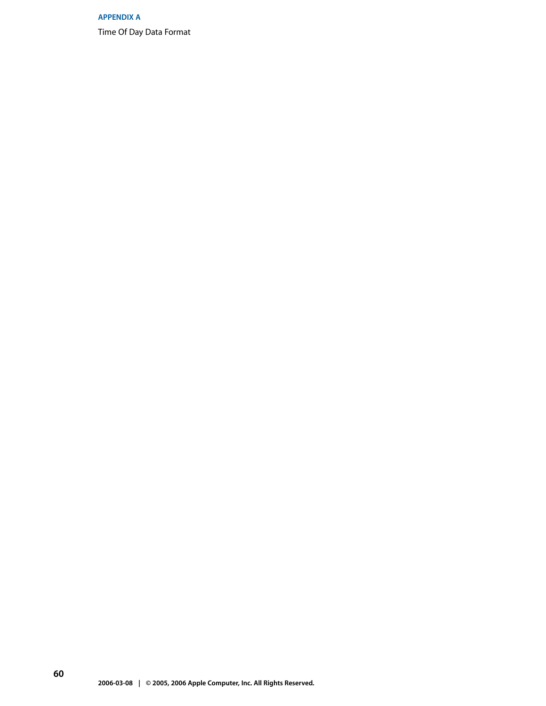**APPENDIX A** Time Of Day Data Format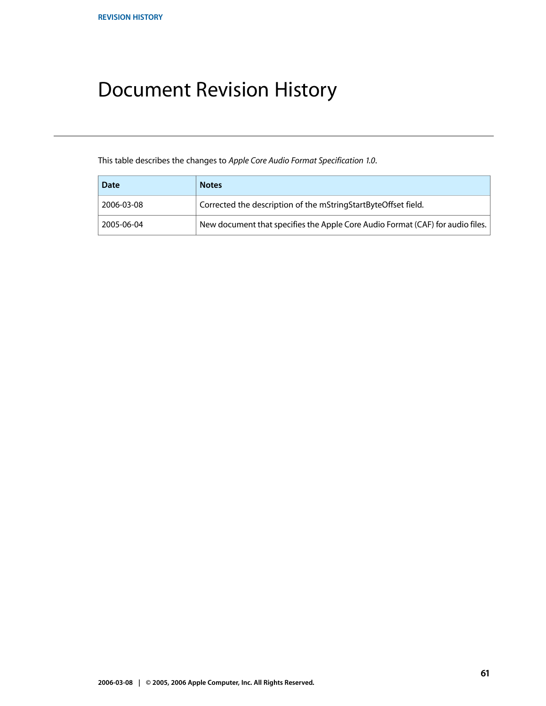# <span id="page-60-0"></span>Document Revision History

This table describes the changes to *Apple Core Audio Format Specification 1.0*.

| <b>Date</b> | <b>Notes</b>                                                                   |
|-------------|--------------------------------------------------------------------------------|
| 2006-03-08  | Corrected the description of the mStringStartByteOffset field.                 |
| 2005-06-04  | New document that specifies the Apple Core Audio Format (CAF) for audio files. |